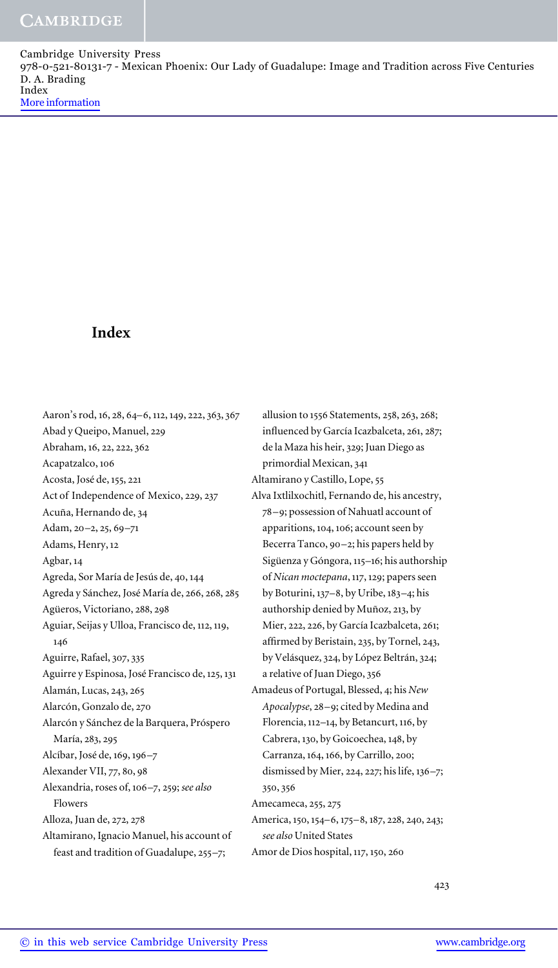# **Index**

Aaron's rod, 16, 28, 64-6, 112, 149, 222, 363, 367 Abad y Queipo, Manuel, Abraham, 16, 22, 222, 362 Acapatzalco, Acosta, José de, 155, 221 Act of Independence of Mexico, 229, 237 Acuña, Hernando de, Adam, 20-2, 25, 69-71 Adams, Henry, Agbar, Agreda, Sor María de Jesús de, 40, 144 Agreda y Sánchez, José María de, 266, 268, 285 Agüeros, Victoriano, 288, 298 Aguiar, Seijas y Ulloa, Francisco de, 112, 119, 146 Aguirre, Rafael, 307, 335 Aguirre y Espinosa, José Francisco de, 125, 131 Alamán, Lucas, 243, 265 Alarcón, Gonzalo de, Alarcón y Sánchez de la Barquera, Próspero María, 283, 295 Alcíbar, José de, 169, 196-7 Alexander VII, 77, 80, 98 Alexandria, roses of, 106-7, 259; see also Flowers Alloza, Juan de, 272, 278 Altamirano, Ignacio Manuel, his account of feast and tradition of Guadalupe,  $255 - 7$ ;

allusion to 1556 Statements, 258, 263, 268; influenced by García Icazbalceta, 261, 287; de la Maza his heir, 329; Juan Diego as primordial Mexican, Altamirano y Castillo, Lope, Alva Ixtlilxochitl, Fernando de, his ancestry, –; possession of Nahuatl account of apparitions, 104, 106; account seen by Becerra Tanco, 90-2; his papers held by Sigüenza y Góngora, 115-16; his authorship of Nican moctepana, 117, 129; papers seen by Boturini, 137-8, by Uribe, 183-4; his authorship denied by Muñoz, 213, by Mier, 222, 226, by García Icazbalceta, 261; affirmed by Beristain, 235, by Tornel, 243, by Velásquez, 324, by López Beltrán, 324; a relative of Juan Diego, Amadeus of Portugal, Blessed, 4; his *New* Apocalypse, 28-9; cited by Medina and Florencia,  $112-14$ , by Betancurt,  $116$ , by Cabrera, 130, by Goicoechea, 148, by Carranza, 164, 166, by Carrillo, 200; dismissed by Mier, 224, 227; his life,  $136 - 7$ ; 350, 356 Amecameca, 255, 275 America, 150, 154-6, 175-8, 187, 228, 240, 243; *see also* United States Amor de Dios hospital, 117, 150, 260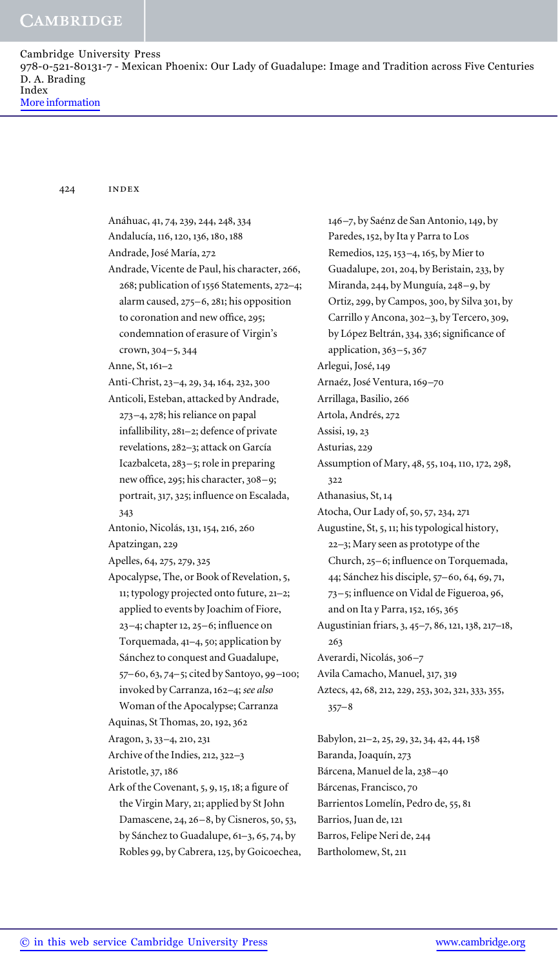424 index

Anáhuac, 41, 74, 239, 244, 248, 334 Andalucía, 116, 120, 136, 180, 188 Andrade, José María, Andrade, Vicente de Paul, his character, 266,  $268$ ; publication of 1556 Statements, 272-4; alarm caused,  $275-6$ ,  $281$ ; his opposition to coronation and new office, 295; condemnation of erasure of Virgin's crown, 304-5, 344 Anne, St, 161-2 Anti-Christ, 23-4, 29, 34, 164, 232, 300 Anticoli, Esteban, attacked by Andrade,  $273-4$ ,  $278$ ; his reliance on papal infallibility, 281-2; defence of private revelations, 282-3; attack on García Icazbalceta,  $283 - 5$ ; role in preparing new office, 295; his character,  $308-9$ ; portrait, 317, 325; influence on Escalada,  $343$ Antonio, Nicolás, 131, 154, 216, 260 Apatzingan, Apelles, 64, 275, 279, 325 Apocalypse, The, or Book of Revelation, 5, 11; typology projected onto future, 21-2; applied to events by Joachim of Fiore,  $23-4$ ; chapter 12, 25–6; influence on Torquemada,  $41-4$ , 50; application by Sánchez to conquest and Guadalupe, 57-60, 63, 74-5; cited by Santoyo, 99-100; invoked by Carranza, 162-4; see also Woman of the Apocalypse; Carranza Aquinas, St Thomas, 20, 192, 362 Aragon, 3, 33-4, 210, 231 Archive of the Indies,  $212, 322 - 3$ Aristotle, 37, 186 Ark of the Covenant, 5, 9, 15, 18; a figure of the Virgin Mary, 21; applied by St John Damascene, 24, 26-8, by Cisneros, 50, 53, by Sánchez to Guadalupe,  $61-3$ ,  $65$ , 74, by Robles 99, by Cabrera, 125, by Goicoechea,

146-7, by Saénz de San Antonio, 149, by Paredes, 152, by Ita y Parra to Los Remedios, 125, 153-4, 165, by Mier to Guadalupe, 201, 204, by Beristain, 233, by Miranda, 244, by Munguía, 248-9, by Ortiz, 299, by Campos, 300, by Silva 301, by Carrillo y Ancona, 302-3, by Tercero, 309, by López Beltrán, 334, 336; significance of application,  $363-5$ ,  $367$ Arlegui, José, Arnaéz, José Ventura, 169-70 Arrillaga, Basilio, Artola, Andrés, Assisi, 19, 23 Asturias, Assumption of Mary, 48, 55, 104, 110, 172, 298, 322 Athanasius, St, Atocha, Our Lady of, 50, 57, 234, 271 Augustine, St, 5, 11; his typological history, –; Mary seen as prototype of the Church, 25-6; influence on Torquemada, 44; Sánchez his disciple, 57–60, 64, 69, 71, 73-5; influence on Vidal de Figueroa, 96, and on Ita y Parra, 152, 165, 365 Augustinian friars, 3, 45-7, 86, 121, 138, 217-18,  $263$ Averardi, Nicolás, 306-7 Avila Camacho, Manuel, 317, 319 Aztecs, 42, 68, 212, 229, 253, 302, 321, 333, 355,  $357 - 8$ 

Babylon, 21-2, 25, 29, 32, 34, 42, 44, 158 Baranda, Joaquín, Bárcena, Manuel de la, 238-40 Bárcenas, Francisco, Barrientos Lomelín, Pedro de, 55, 81 Barrios, Juan de, Barros, Felipe Neri de, Bartholomew, St,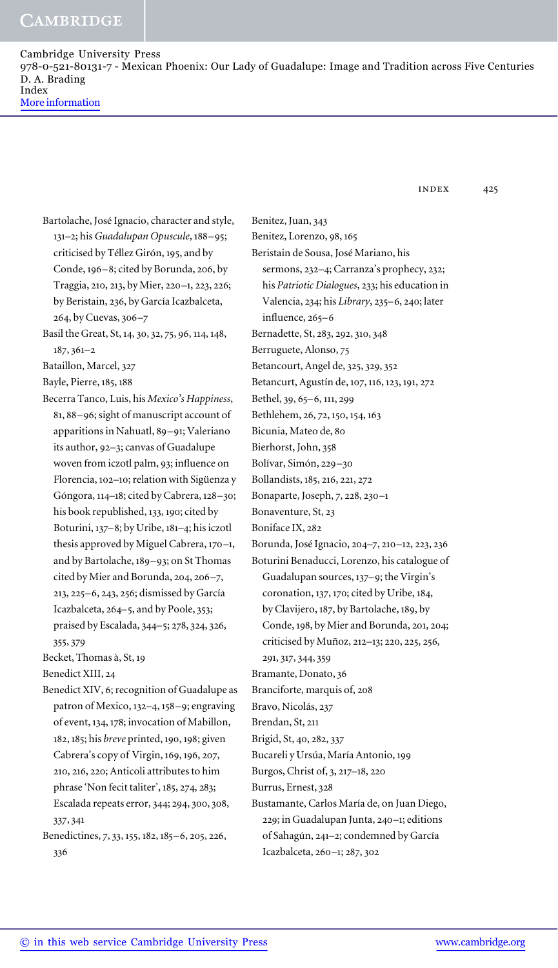index 425

Bartolache, José Ignacio, character and style, 131-2; his *Guadalupan Opuscule*, 188-95; criticised by Téllez Girón, 195, and by Conde, 196-8; cited by Borunda, 206, by Traggia, 210, 213, by Mier, 220-1, 223, 226; by Beristain, 236, by García Icazbalceta, 264, by Cuevas, 306-7 Basil the Great, St, 14, 30, 32, 75, 96, 114, 148,  $187, 361 - 2$ Bataillon, Marcel, 327 Bayle, Pierre, 185, 188 Becerra Tanco, Luis, his *Mexico's Happiness*, 81, 88-96; sight of manuscript account of apparitions in Nahuatl, 89-91; Valeriano its author, 92-3; canvas of Guadalupe woven from iczotl palm, 93; influence on Florencia, 102-10; relation with Sigüenza y Góngora, 114-18; cited by Cabrera, 128-30; his book republished, 133, 190; cited by Boturini, 137-8; by Uribe, 181-4; his iczotl thesis approved by Miguel Cabrera,  $170-1$ , and by Bartolache, 189-93; on St Thomas cited by Mier and Borunda, 204, 206-7, 213, 225-6, 243, 256; dismissed by García Icazbalceta, 264-5, and by Poole, 353; praised by Escalada, 344-5; 278, 324, 326, 355, 379 Becket, Thomas à, St, Benedict XIII, Benedict XIV, 6; recognition of Guadalupe as patron of Mexico,  $132-4$ ,  $158-9$ ; engraving of event, 134, 178; invocation of Mabillon, 182, 185; his *breve* printed, 190, 198; given Cabrera's copy of Virgin, 169, 196, 207, 210, 216, 220; Anticoli attributes to him phrase 'Non fecit taliter', 185, 274, 283; Escalada repeats error, 344; 294, 300, 308, 337, 341 Benedictines, 7, 33, 155, 182, 185-6, 205, 226, 336

Benitez, Juan, Benitez, Lorenzo, 98, 165 Beristain de Sousa, José Mariano, his sermons, 232-4; Carranza's prophecy, 232; his *Patriotic Dialogues*, 233; his education in Valencia, 234; his *Library*, 235-6, 240; later influence,  $265 - 6$ Bernadette, St, 283, 292, 310, 348 Berruguete, Alonso, Betancourt, Angel de, 325, 329, 352 Betancurt, Agustín de, 107, 116, 123, 191, 272 Bethel, 39, 65-6, 111, 299 Bethlehem, 26, 72, 150, 154, 163 Bicunia, Mateo de, Bierhorst, John, Bolívar, Simón, 229-30 Bollandists, 185, 216, 221, 272 Bonaparte, Joseph, 7, 228, 230-1 Bonaventure, St, Boniface IX, Borunda, José Ignacio, 204-7, 210-12, 223, 236 Boturini Benaducci, Lorenzo, his catalogue of Guadalupan sources, 137-9; the Virgin's coronation, 137, 170; cited by Uribe, 184, by Clavijero, 187, by Bartolache, 189, by Conde, 198, by Mier and Borunda, 201, 204; criticised by Muñoz, 212-13; 220, 225, 256, 291, 317, 344, 359 Bramante, Donato, Branciforte, marquis of, Bravo, Nicolás, Brendan, St, Brigid, St, 40, 282, 337 Bucareli y Ursúa, María Antonio, Burgos, Christ of, 3, 217-18, 220 Burrus, Ernest, Bustamante, Carlos María de, on Juan Diego, 229; in Guadalupan Junta, 240-1; editions of Sahagún, 241-2; condemned by García Icazbalceta, 260-1; 287, 302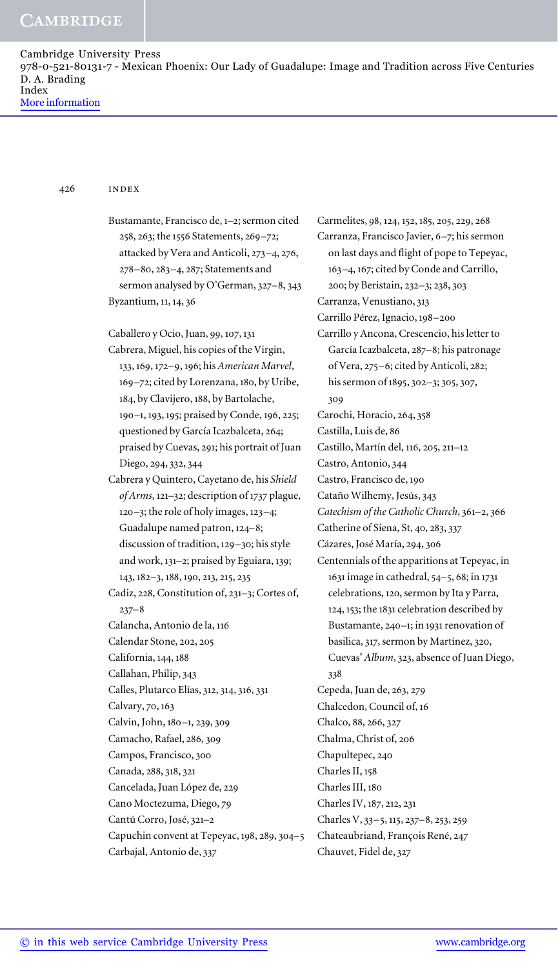426 index

| Bustamante, Francisco de, 1-2; sermon cited      | Carmelites, 98, 124, 152, 185, 205, 229, 268  |
|--------------------------------------------------|-----------------------------------------------|
| 258, 263; the 1556 Statements, 269-72;           | Carranza, Francisco Javier, 6-7; his sermon   |
| attacked by Vera and Anticoli, 273-4, 276,       | on last days and flight of pope to Tepeyac,   |
| 278-80, 283-4, 287; Statements and               | 163-4, 167; cited by Conde and Carrillo,      |
| sermon analysed by O'German, 327-8, 343          | 200; by Beristain, 232-3; 238, 303            |
| Byzantium, 11, 14, 36                            | Carranza, Venustiano, 313                     |
|                                                  | Carrillo Pérez, Ignacio, 198-200              |
| Caballero y Ocio, Juan, 99, 107, 131             | Carrillo y Ancona, Crescencio, his letter to  |
| Cabrera, Miguel, his copies of the Virgin,       | García Icazbalceta, 287-8; his patronage      |
| 133, 169, 172-9, 196; his American Marvel,       | of Vera, 275-6; cited by Anticoli, 282;       |
| 169-72; cited by Lorenzana, 180, by Uribe,       | his sermon of 1895, 302-3; 305, 307,          |
| 184, by Clavijero, 188, by Bartolache,           | 309                                           |
| 190-1, 193, 195; praised by Conde, 196, 225;     | Carochi, Horacio, 264, 358                    |
| questioned by García Icazbalceta, 264;           | Castilla, Luis de, 86                         |
| praised by Cuevas, 291; his portrait of Juan     | Castillo, Martín del, 116, 205, 211-12        |
| Diego, 294, 332, 344                             | Castro, Antonio, 344                          |
| Cabrera y Quintero, Cayetano de, his Shield      | Castro, Francisco de, 190                     |
| of Arms, 121-32; description of 1737 plague,     | Cataño Wilhemy, Jesús, 343                    |
| $120 - 3$ ; the role of holy images, $123 - 4$ ; | Catechism of the Catholic Church, 361-2, 366  |
| Guadalupe named patron, 124-8;                   | Catherine of Siena, St, 40, 283, 337          |
| discussion of tradition, 129-30; his style       | Cázares, José María, 294, 306                 |
| and work, 131-2; praised by Eguiara, 139;        | Centennials of the apparitions at Tepeyac, in |
| 143, 182-3, 188, 190, 213, 215, 235              | 1631 image in cathedral, 54-5, 68; in 1731    |
| Cadiz, 228, Constitution of, 231-3; Cortes of,   | celebrations, 120, sermon by Ita y Parra,     |
| $237 - 8$                                        | 124, 153; the 1831 celebration described by   |
| Calancha, Antonio de la, 116                     | Bustamante, 240-1; in 1931 renovation of      |
| Calendar Stone, 202, 205                         | basilica, 317, sermon by Martínez, 320,       |
| California, 144, 188                             | Cuevas' Album, 323, absence of Juan Diego,    |
| Callahan, Philip, 343                            | 338                                           |
| Calles, Plutarco Elías, 312, 314, 316, 331       | Cepeda, Juan de, 263, 279                     |
| Calvary, 70, 163                                 | Chalcedon, Council of, 16                     |
| Calvin, John, 180–1, 239, 309                    | Chalco, 88, 266, 327                          |
| Camacho, Rafael, 286, 309                        | Chalma, Christ of, 206                        |
| Campos, Francisco, 300                           | Chapultepec, 240                              |
| Canada, 288, 318, 321                            | Charles II, 158                               |
| Cancelada, Juan López de, 229                    | Charles III, 180                              |
| Cano Moctezuma, Diego, 79                        | Charles IV, 187, 212, 231                     |
| Cantú Corro, José, 321-2                         | Charles V, 33-5, 115, 237-8, 253, 259         |
| Capuchin convent at Tepeyac, 198, 289, 304-5     | Chateaubriand, François René, 247             |
| Carbajal, Antonio de, 337                        | Chauvet, Fidel de, 327                        |
|                                                  |                                               |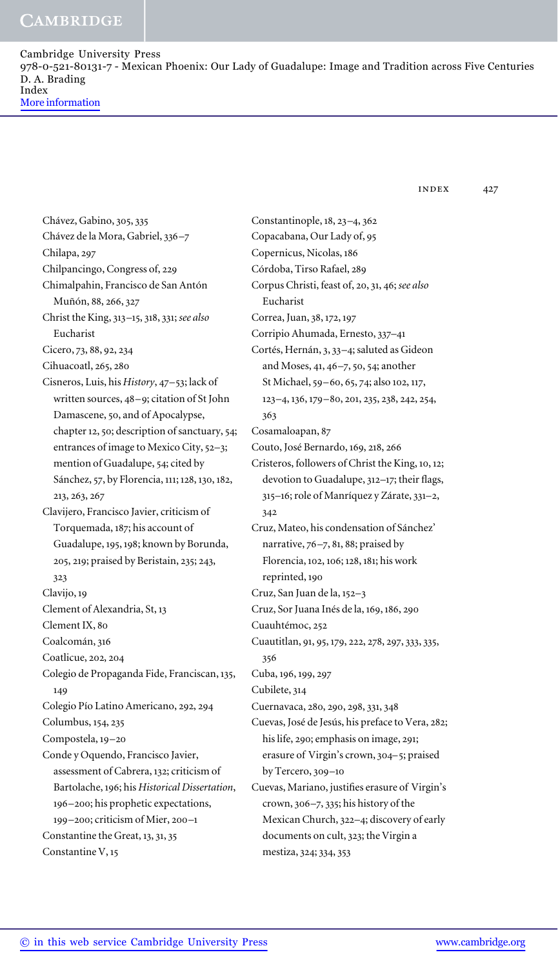index 427

Chávez, Gabino, 305, 335 Chávez de la Mora, Gabriel, 336-7 Chilapa, 297 Chilpancingo, Congress of, Chimalpahin, Francisco de San Antón Muñón, 88, 266, 327 Christ the King, 313-15, 318, 331; see also Eucharist Cicero, 73, 88, 92, 234 Cihuacoatl, 265, 280 Cisneros, Luis, his History, 47-53; lack of written sources, 48-9; citation of St John Damascene, 50, and of Apocalypse, chapter 12, 50; description of sanctuary, 54; entrances of image to Mexico City,  $52-3$ ; mention of Guadalupe, 54; cited by Sánchez, 57, by Florencia, 111; 128, 130, 182, 213, 263, 267 Clavijero, Francisco Javier, criticism of Torquemada, 187; his account of Guadalupe, 195, 198; known by Borunda, 205, 219; praised by Beristain, 235; 243, 323 Clavijo, Clement of Alexandria, St, Clement IX, Coalcomán, 316 Coatlicue, 202, 204 Colegio de Propaganda Fide, Franciscan, 135,  $149$ Colegio Pío Latino Americano, 292, 294 Columbus, 154, 235 Compostela, 19-20 Conde y Oquendo, Francisco Javier, assessment of Cabrera, 132; criticism of Bartolache, 196; his Historical Dissertation, –; his prophetic expectations,  $199-200$ ; criticism of Mier, 200-1 Constantine the Great, 13, 31, 35 Constantine V,

Constantinople, 18, 23-4, 362 Copacabana, Our Lady of, Copernicus, Nicolas, Córdoba, Tirso Rafael, Corpus Christi, feast of, 20, 31, 46; see also Eucharist Correa, Juan, 38, 172, 197 Corripio Ahumada, Ernesto, 337-41 Cortés, Hernán, 3, 33-4; saluted as Gideon and Moses,  $41, 46 - 7, 50, 54$ ; another St Michael, 59-60, 65, 74; also 102, 117, 123-4, 136, 179-80, 201, 235, 238, 242, 254, 363 Cosamaloapan, 87 Couto, José Bernardo, 169, 218, 266 Cristeros, followers of Christ the King, 10, 12; devotion to Guadalupe,  $312-17$ ; their flags, 315-16; role of Manríquez y Zárate, 331-2,  $342$ Cruz, Mateo, his condensation of Sánchez' narrative,  $76 - 7$ , 81, 88; praised by Florencia, 102, 106; 128, 181; his work reprinted, Cruz, San Juan de la, 152-3 Cruz, Sor Juana Inés de la, 169, 186, 290 Cuauhtémoc, 252 Cuautitlan, 91, 95, 179, 222, 278, 297, 333, 335, 356 Cuba, 196, 199, 297 Cubilete, 314 Cuernavaca, 280, 290, 298, 331, 348 Cuevas, José de Jesús, his preface to Vera, 282; his life, 290; emphasis on image, 291; erasure of Virgin's crown, 304-5; praised  $by Tercero, 309-10$ Cuevas, Mariano, justifies erasure of Virgin's crown,  $306 - 7$ ,  $335$ ; his history of the Mexican Church, 322-4; discovery of early documents on cult, 323; the Virgin a mestiza, 324; 334, 353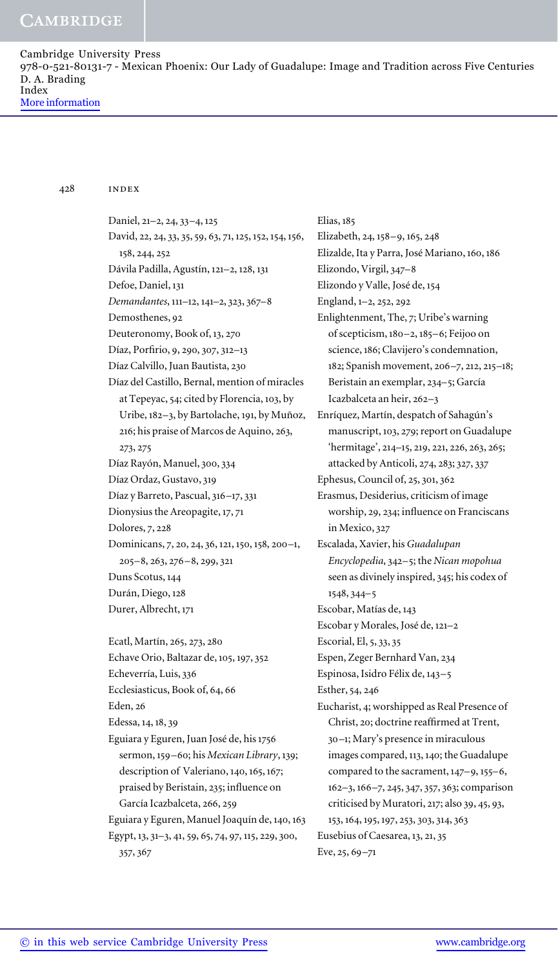428 index

Daniel, 21-2, 24, 33-4, 125 David, 22, 24, 33, 35, 59, 63, 71, 125, 152, 154, 156, 158, 244, 252 Dávila Padilla, Agustín, 121-2, 128, 131 Defoe, Daniel, *Demandantes*, 111-12, 141-2, 323, 367-8 Demosthenes, 92 Deuteronomy, Book of, 13, 270 Díaz, Porfirio, 9, 290, 307, 312-13 Díaz Calvillo, Juan Bautista, Díaz del Castillo, Bernal, mention of miracles at Tepeyac, 54; cited by Florencia, 103, by Uribe, 182-3, by Bartolache, 191, by Muñoz, 216; his praise of Marcos de Aquino, 263, 273, 275 Díaz Rayón, Manuel, 300, 334 Díaz Ordaz, Gustavo, Díaz y Barreto, Pascual, 316-17, 331 Dionysius the Areopagite, 17, 71 Dolores, 7, 228 Dominicans, 7, 20, 24, 36, 121, 150, 158, 200-1,  $205 - 8$ ,  $263$ ,  $276 - 8$ ,  $299$ ,  $321$ Duns Scotus, 144 Durán, Diego, Durer, Albrecht,

Ecatl, Martín, 265, 273, 280 Echave Orio, Baltazar de, 105, 197, 352 Echeverría, Luis, Ecclesiasticus, Book of, 64, 66 Eden, Edessa, 14, 18, 39 Eguiara y Eguren, Juan José de, his sermon, 159-60; his *Mexican Library*, 139; description of Valeriano,  $140, 165, 167$ ; praised by Beristain, 235; influence on García Icazbalceta, 266, 259 Eguiara y Eguren, Manuel Joaquín de, 140, 163 Egypt, 13, 31-3, 41, 59, 65, 74, 97, 115, 229, 300, 357, 367

Elias, Elizabeth, 24, 158-9, 165, 248 Elizalde, Ita y Parra, José Mariano, 160, 186 Elizondo, Virgil, 347-8 Elizondo y Valle, José de, England, 1-2, 252, 292 Enlightenment, The, 7; Uribe's warning of scepticism, 180-2, 185-6; Feijoo on science, 186; Clavijero's condemnation, 182; Spanish movement, 206-7, 212, 215-18; Beristain an exemplar, 234-5; García Icazbalceta an heir,  $262 - 3$ Enríquez, Martín, despatch of Sahagún's manuscript, 103, 279; report on Guadalupe 'hermitage', 214-15, 219, 221, 226, 263, 265; attacked by Anticoli, 274, 283; 327, 337 Ephesus, Council of,  $25, 301, 362$ Erasmus, Desiderius, criticism of image worship, 29, 234; influence on Franciscans in Mexico, 327 Escalada, Xavier, his *Guadalupan Encyclopedia*, 342–5; the *Nican mopohua* seen as divinely inspired, 345; his codex of  $1548, 344 - 5$ Escobar, Matías de, Escobar y Morales, José de, 121-2 Escorial, El, 5, 33, 35 Espen, Zeger Bernhard Van, Espinosa, Isidro Félix de, 143-5 Esther, 54, 246 Eucharist, 4; worshipped as Real Presence of Christ, 20; doctrine reaffirmed at Trent, –; Mary's presence in miraculous images compared, 113, 140; the Guadalupe compared to the sacrament,  $147-9$ ,  $155-6$ , 162-3, 166-7, 245, 347, 357, 363; comparison criticised by Muratori, 217; also 39, 45, 93, 153, 164, 195, 197, 253, 303, 314, 363 Eusebius of Caesarea, 13, 21, 35  $Eve, 25, 69 - 71$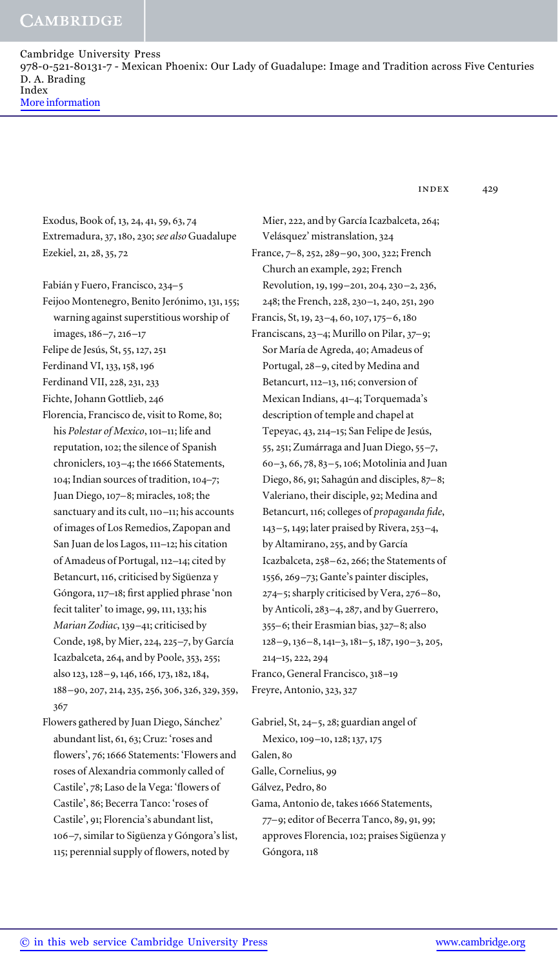### **CAMBRIDGE**

Cambridge University Press 978-0-521-80131-7 - Mexican Phoenix: Our Lady of Guadalupe: Image and Tradition across Five Centuries D. A. Brading Index More information

index 429

Exodus, Book of, 13, 24, 41, 59, 63, 74 Extremadura, 37, 180, 230; see also Guadalupe Ezekiel, 21, 28, 35, 72

Fabián y Fuero, Francisco, 234-5

Feijoo Montenegro, Benito Jerónimo, 131, 155; warning against superstitious worship of images,  $186 - 7$ ,  $216 - 17$ 

- Felipe de Jesús, St, 55, 127, 251
- Ferdinand VI, 133, 158, 196
- Ferdinand VII, 228, 231, 233
- Fichte, Johann Gottlieb,

Florencia, Francisco de, visit to Rome, 80; his Polestar of Mexico, 101-11; life and reputation, 102; the silence of Spanish chroniclers, 103-4; the 1666 Statements, 104; Indian sources of tradition, 104-7; Juan Diego, 107-8; miracles, 108; the sanctuary and its cult, 110-11; his accounts of images of Los Remedios, Zapopan and San Juan de los Lagos, 111-12; his citation of Amadeus of Portugal, 112-14; cited by Betancurt, 116, criticised by Sigüenza y Góngora, 117-18; first applied phrase 'non fecit taliter' to image, 99,  $111$ ,  $133$ ; his *Marian Zodiac*, 139-41; criticised by Conde, 198, by Mier, 224, 225-7, by García Icazbalceta, 264, and by Poole, 353, 255; also 123, 128-9, 146, 166, 173, 182, 184, 188-90, 207, 214, 235, 256, 306, 326, 329, 359,  $367$ 

Flowers gathered by Juan Diego, Sánchez' abundant list, 61, 63; Cruz: 'roses and flowers', 76; 1666 Statements: 'Flowers and roses of Alexandria commonly called of Castile', 78; Laso de la Vega: 'flowers of Castile', 86; Becerra Tanco: 'roses of Castile', 91; Florencia's abundant list, –, similar to Sigüenza y Góngora's list, 115; perennial supply of flowers, noted by

Mier, 222, and by García Icazbalceta, 264; Velásquez' mistranslation, France, 7-8, 252, 289-90, 300, 322; French Church an example, 292; French Revolution, 19, 199-201, 204, 230-2, 236, 248; the French, 228, 230-1, 240, 251, 290 Francis, St, 19, 23-4, 60, 107, 175-6, 180 Franciscans, 23-4; Murillo on Pilar, 37-9; Sor María de Agreda, 40; Amadeus of Portugal, 28-9, cited by Medina and Betancurt, 112-13, 116; conversion of Mexican Indians, 41-4; Torquemada's description of temple and chapel at Tepeyac, 43, 214-15; San Felipe de Jesús, 55, 251; Zumárraga and Juan Diego, 55-7, 60-3, 66, 78, 83-5, 106; Motolinia and Juan Diego, 86, 91; Sahagún and disciples, 87–8; Valeriano, their disciple, 92; Medina and Betancurt, 116; colleges of *propaganda fide*,  $143-5$ , 149; later praised by Rivera, 253-4, by Altamirano, 255, and by García Icazbalceta, 258-62, 266; the Statements of 1556, 269-73; Gante's painter disciples, 274-5; sharply criticised by Vera, 276-80, by Anticoli, 283-4, 287, and by Guerrero, 355–6; their Erasmian bias, 327–8; also  $128 - 9, 136 - 8, 141 - 3, 181 - 5, 187, 190 - 3, 205,$  $214 - 15, 222, 294$ Franco, General Francisco, 318-19 Freyre, Antonio, 323, 327

Gabriel, St,  $24-5$ , 28; guardian angel of Mexico, 109-10, 128; 137, 175 Galen, 80 Galle, Cornelius, Gálvez, Pedro, Gama, Antonio de, takes 1666 Statements, 77-9; editor of Becerra Tanco, 89, 91, 99; approves Florencia, 102; praises Sigüenza y Góngora,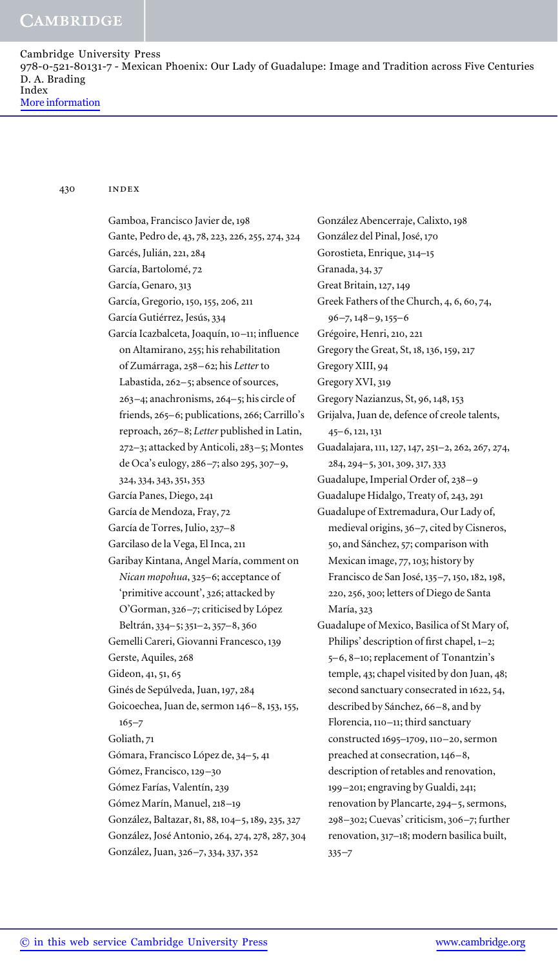430 index

Gamboa, Francisco Javier de, Gante, Pedro de, 43, 78, 223, 226, 255, 274, 324 Garcés, Julián, 221, 284 García, Bartolomé, García, Genaro, García, Gregorio, 150, 155, 206, 211 García Gutiérrez, Jesús, García Icazbalceta, Joaquín, 10-11; influence on Altamirano, 255; his rehabilitation of Zumárraga, 258-62; his Letter to Labastida, 262-5; absence of sources,  $263-4$ ; anachronisms,  $264-5$ ; his circle of friends, 265-6; publications, 266; Carrillo's reproach, 267-8; *Letter* published in Latin,  $272-3$ ; attacked by Anticoli,  $283-5$ ; Montes de Oca's eulogy,  $286 - 7$ ; also 295, 307-9, 324, 334, 343, 351, 353 García Panes, Diego, García de Mendoza, Fray, García de Torres, Julio, 237-8 Garcilaso de la Vega, El Inca, Garibay Kintana, Angel María, comment on *Nican mopohua*, 325-6; acceptance of 'primitive account', 326; attacked by O'Gorman, 326-7; criticised by López Beltrán, 334-5; 351-2, 357-8, 360 Gemelli Careri, Giovanni Francesco, Gerste, Aquiles, Gideon, 41, 51, 65 Ginés de Sepúlveda, Juan, 197, 284 Goicoechea, Juan de, sermon  $146-8$ ,  $153$ ,  $155$ ,  $165 - 7$ Goliath, Gómara, Francisco López de, 34-5, 41 Gómez, Francisco, 129-30 Gómez Farías, Valentín, Gómez Marín, Manuel, 218-19 González, Baltazar, 81, 88, 104-5, 189, 235, 327 González, José Antonio, 264, 274, 278, 287, 304 González, Juan, 326-7, 334, 337, 352

González Abencerraje, Calixto, González del Pinal, José, Gorostieta, Enrique, 314-15 Granada, 34, 37 Great Britain, 127, 149 Greek Fathers of the Church, 4, 6, 60, 74,  $96 - 7, 148 - 9, 155 - 6$ Grégoire, Henri, 210, 221 Gregory the Great, St, 18, 136, 159, 217 Gregory XIII, Gregory XVI, 319 Gregory Nazianzus, St, 96, 148, 153 Grijalva, Juan de, defence of creole talents,  $45 - 6$ , 121, 131 Guadalajara, 111, 127, 147, 251-2, 262, 267, 274, 284, 294-5, 301, 309, 317, 333 Guadalupe, Imperial Order of, 238-9 Guadalupe Hidalgo, Treaty of, 243, 291 Guadalupe of Extremadura, Our Lady of, medieval origins, 36-7, cited by Cisneros, 50, and Sánchez, 57; comparison with Mexican image, 77, 103; history by Francisco de San José, 135-7, 150, 182, 198, 220, 256, 300; letters of Diego de Santa María, Guadalupe of Mexico, Basilica of St Mary of, Philips' description of first chapel,  $1-2$ ; 5-6, 8-10; replacement of Tonantzin's temple, 43; chapel visited by don Juan, 48; second sanctuary consecrated in 1622, 54, described by Sánchez, 66-8, and by Florencia, 110-11; third sanctuary constructed 1695-1709, 110-20, sermon preached at consecration,  $146-8$ , description of retables and renovation, 199-201; engraving by Gualdi, 241; renovation by Plancarte, 294-5, sermons, 298-302; Cuevas' criticism, 306-7; further renovation, 317-18; modern basilica built,  $335 - 7$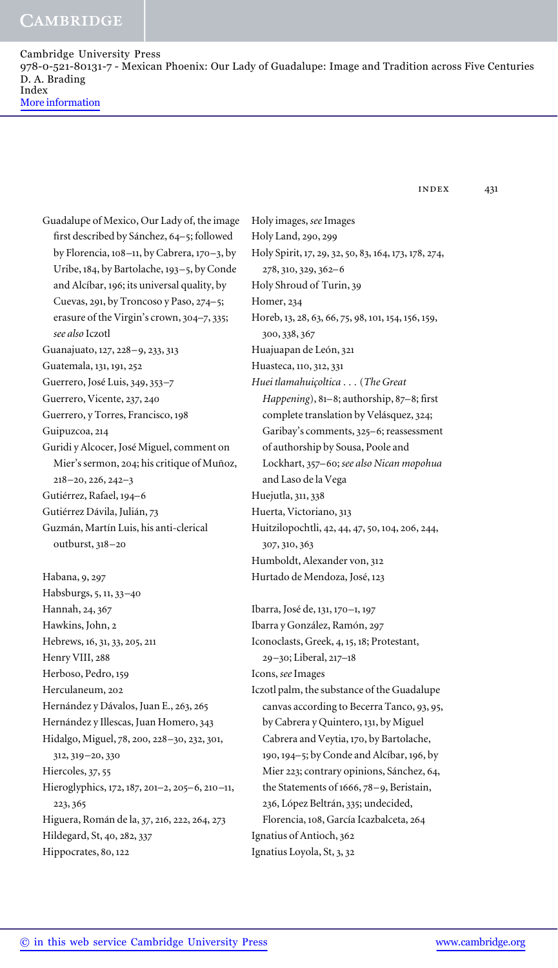index 431

Guadalupe of Mexico, Our Lady of, the image first described by Sánchez, 64-5; followed by Florencia,  $108-11$ , by Cabrera,  $170-3$ , by Uribe, 184, by Bartolache, 193-5, by Conde and Alcíbar, 196; its universal quality, by Cuevas, 291, by Troncoso y Paso, 274-5; erasure of the Virgin's crown, 304-7, 335; *see also* Iczotl Guanajuato, 127, 228-9, 233, 313 Guatemala, 131, 191, 252 Guerrero, José Luis, 349, 353-7 Guerrero, Vicente, 237, 240 Guerrero, y Torres, Francisco, Guipuzcoa, 214 Guridi y Alcocer, José Miguel, comment on Mier's sermon, 204; his critique of Muñoz,  $218 - 20, 226, 242 - 3$ Gutiérrez, Rafael, 194-6 Gutiérrez Dávila, Julián, Guzmán, Martín Luis, his anti-clerical  $outburst, 318 - 20$ Habana, 9, 297 Habsburgs, 5, 11, 33-40 Hannah, 24, 367 Hawkins, John, Hebrews, 16, 31, 33, 205, 211 Henry VIII, 288 Herboso, Pedro, Herculaneum, 202 Hernández y Dávalos, Juan E., 263, 265 Hernández y Illescas, Juan Homero, Hidalgo, Miguel, 78, 200, 228-30, 232, 301,  $312, 319 - 20, 330$ Hiercoles, 37, 55 Hieroglyphics, 172, 187, 201-2, 205-6, 210-11, 223, 365 Higuera, Román de la, 37, 216, 222, 264, 273 Hildegard, St, 40, 282, 337 Hippocrates, 80, 122

Holy images, *see* Images Holy Land, 290, 299 Holy Spirit, 17, 29, 32, 50, 83, 164, 173, 178, 274, 278, 310, 329, 362-6 Holy Shroud of Turin, Homer, 234 Horeb, 13, 28, 63, 66, 75, 98, 101, 154, 156, 159, 300, 338, 367 Huajuapan de León, Huasteca, 110, 312, 331 *Huei tlamahuiçoltica . . .* (*The Great Happening*), 81–8; authorship, 87–8; first complete translation by Velásquez, 324; Garibay's comments, 325-6; reassessment of authorship by Sousa, Poole and Lockhart, 357-60; see also Nican mopohua and Laso de la Vega Huejutla, 311, 338 Huerta, Victoriano, Huitzilopochtli, 42, 44, 47, 50, 104, 206, 244, 307, 310, 363 Humboldt, Alexander von, Hurtado de Mendoza, José, Ibarra, José de, 131, 170-1, 197 Ibarra y González, Ramón, Iconoclasts, Greek, 4, 15, 18; Protestant, 29-30; Liberal, 217-18 Icons, *see* Images Iczotl palm, the substance of the Guadalupe canvas according to Becerra Tanco, 93, 95, by Cabrera y Quintero, 131, by Miguel Cabrera and Veytia, 170, by Bartolache, 190, 194-5; by Conde and Alcíbar, 196, by Mier 223; contrary opinions, Sánchez, 64, the Statements of  $1666, 78-9$ , Beristain, 236, López Beltrán, 335; undecided, Florencia, 108, García Icazbalceta, 264 Ignatius of Antioch, Ignatius Loyola, St, 3, 32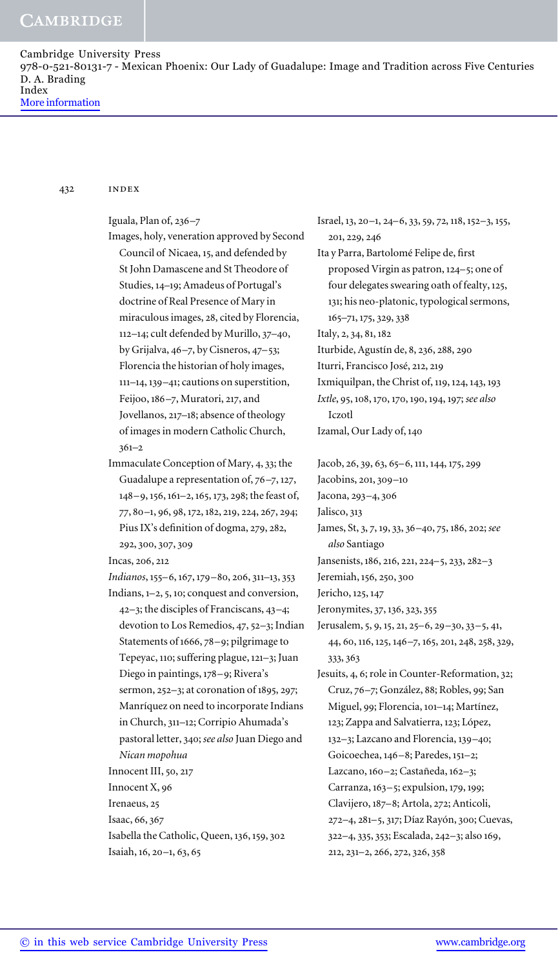432 index

Iguala, Plan of,  $236 - 7$ Images, holy, veneration approved by Second Council of Nicaea, 15, and defended by St John Damascene and St Theodore of Studies, 14-19; Amadeus of Portugal's doctrine of Real Presence of Mary in miraculous images, 28, cited by Florencia, 112-14; cult defended by Murillo, 37-40, by Grijalva, 46-7, by Cisneros, 47-53; Florencia the historian of holy images,  $111-14$ ,  $139-41$ ; cautions on superstition, Feijoo, 186-7, Muratori, 217, and Jovellanos, 217-18; absence of theology of images in modern Catholic Church,  $361 - 2$ 

Immaculate Conception of Mary, 4, 33; the Guadalupe a representation of,  $76 - 7$ , 127, 148-9, 156, 161-2, 165, 173, 298; the feast of, 77, 80-1, 96, 98, 172, 182, 219, 224, 267, 294; Pius IX's definition of dogma, 279, 282, 292, 300, 307, 309

Incas, 206, 212

Indianos, 155-6, 167, 179-80, 206, 311-13, 353

- Indians,  $1-2$ , 5, 10; conquest and conversion,  $42-3$ ; the disciples of Franciscans,  $43-4$ ; devotion to Los Remedios, 47, 52-3; Indian Statements of  $1666$ ,  $78 - 9$ ; pilgrimage to Tepeyac, 110; suffering plague, 121-3; Juan Diego in paintings, 178-9; Rivera's sermon,  $252-3$ ; at coronation of  $1895$ ,  $297$ ; Manríquez on need to incorporate Indians in Church, 311-12; Corripio Ahumada's pastoral letter, 340; see also Juan Diego and *Nican mopohua* Innocent III, 50, 217
- Innocent X, 96
- Irenaeus,
- Isaac, 66, 367
- Isabella the Catholic, Queen, 136, 159, 302 Isaiah,  $16$ ,  $20 - 1$ ,  $63$ ,  $65$

Israel,  $13$ ,  $20-1$ ,  $24-6$ ,  $33$ ,  $59$ ,  $72$ ,  $118$ ,  $152-3$ ,  $155$ , 201, 229, 246 Ita y Parra, Bartolomé Felipe de, first proposed Virgin as patron, 124-5; one of four delegates swearing oath of fealty, 125, 131; his neo-platonic, typological sermons, 165-71, 175, 329, 338 Italy, 2, 34, 81, 182 Iturbide, Agustín de, 8, 236, 288, 290 Iturri, Francisco José, 212, 219 Ixmiquilpan, the Christ of, 119, 124, 143, 193 Ixtle, 95, 108, 170, 170, 190, 194, 197; see also Iczotl Izamal, Our Lady of,

- Jacob, 26, 39, 63, 65–6, 111, 144, 175, 299
- Jacobins,  $201, 309 10$
- Jacona, 293-4, 306
- Jalisco, 313
- James, St, 3, 7, 19, 33, 36-40, 75, 186, 202; see *also* Santiago
- Jansenists, 186, 216, 221, 224–5, 233, 282–3
- Jeremiah, 156, 250, 300
- Jericho, 125, 147
- Jeronymites, 37, 136, 323, 355
- Jerusalem, 5, 9, 15, 21, 25-6, 29-30, 33-5, 41, 44, 60, 116, 125, 146-7, 165, 201, 248, 258, 329, 333, 363
- Jesuits, 4, 6; role in Counter-Reformation, 32; Cruz, 76-7; González, 88; Robles, 99; San Miguel, 99; Florencia, 101-14; Martínez, 123; Zappa and Salvatierra, 123; López, 132-3; Lazcano and Florencia, 139-40; Goicoechea, 146-8; Paredes, 151-2; Lazcano, 160-2; Castañeda, 162-3; Carranza, 163-5; expulsion, 179, 199; Clavijero, 187-8; Artola, 272; Anticoli, 272-4, 281-5, 317; Díaz Rayón, 300; Cuevas, 322-4, 335, 353; Escalada, 242-3; also 169,
	- $212, 231 2, 266, 272, 326, 358$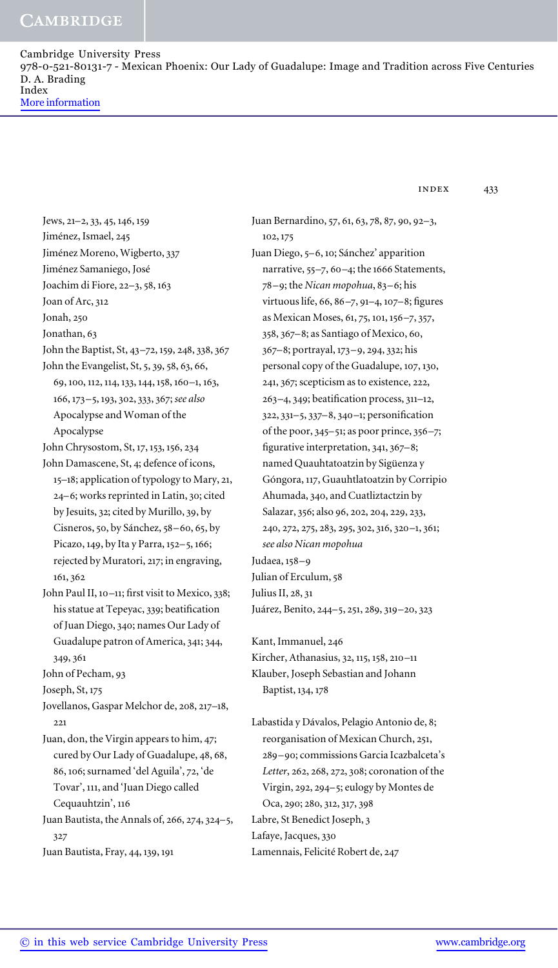index 433

Jews,  $21-2$ , 33, 45, 146, 159 Jiménez, Ismael, 245 Jiménez Moreno, Wigberto, Jiménez Samaniego, José Joachim di Fiore,  $22-3$ ,  $58$ ,  $163$ Joan of Arc, Jonah, Jonathan, 63 John the Baptist, St, 43-72, 159, 248, 338, 367 John the Evangelist, St, 5, 39, 58, 63, 66, 69, 100, 112, 114, 133, 144, 158, 160-1, 163, 166, 173-5, 193, 302, 333, 367; see also Apocalypse and Woman of the Apocalypse John Chrysostom, St, 17, 153, 156, 234 John Damascene, St, 4; defence of icons,  $15-18$ ; application of typology to Mary, 21, 24-6; works reprinted in Latin, 30; cited by Jesuits, 32; cited by Murillo, 39, by Cisneros, 50, by Sánchez,  $58-60, 65$ , by Picazo, 149, by Ita y Parra, 152-5, 166; rejected by Muratori, 217; in engraving, 161, 362 John Paul II, 10-11; first visit to Mexico, 338; his statue at Tepeyac, 339; beatification of Juan Diego, 340; names Our Lady of Guadalupe patron of America, 341; 344, 349, 361 John of Pecham, Joseph, St, Jovellanos, Gaspar Melchor de, 208, 217-18, 221 Juan, don, the Virgin appears to him, 47; cured by Our Lady of Guadalupe, 48, 68, 86, 106; surnamed 'del Aguila', 72, 'de Tovar', 111, and 'Juan Diego called Cequauhtzin', 116 Juan Bautista, the Annals of,  $266$ ,  $274$ ,  $324-5$ , 327 Juan Bautista, Fray, 44, 139, 191

Juan Bernardino, 57, 61, 63, 78, 87, 90, 92-3, 102, 175 Juan Diego, 5-6, 10; Sánchez' apparition narrative,  $55-7$ ,  $60-4$ ; the 1666 Statements, 78-9; the *Nican mopohua*, 83-6; his virtuous life, 66, 86-7, 91-4, 107-8; figures as Mexican Moses, 61, 75, 101, 156-7, 357, 358, 367-8; as Santiago of Mexico, 60, 367-8; portrayal, 173-9, 294, 332; his personal copy of the Guadalupe, 107, 130, 241, 367; scepticism as to existence, 222,  $263-4$ , 349; beatification process, 311–12, 322, 331-5, 337-8, 340-1; personification of the poor,  $345-51$ ; as poor prince,  $356-7$ ; figurative interpretation,  $341, 367-8$ ; named Quauhtatoatzin by Sigüenza y Góngora, 117, Guauhtlatoatzin by Corripio Ahumada, 340, and Cuatliztactzin by Salazar, 356; also 96, 202, 204, 229, 233, 240, 272, 275, 283, 295, 302, 316, 320-1, 361; *see also Nican mopohua* Judaea, 158-9 Julian of Erculum, 58 Julius II, 28, 31 Juárez, Benito, 244-5, 251, 289, 319-20, 323

Kant, Immanuel, Kircher, Athanasius, 32, 115, 158, 210-11 Klauber, Joseph Sebastian and Johann Baptist, 134, 178

Labastida y Dávalos, Pelagio Antonio de, 8; reorganisation of Mexican Church, 251, –; commissions Garcia Icazbalceta's Letter, 262, 268, 272, 308; coronation of the Virgin, 292, 294-5; eulogy by Montes de Oca, 290; 280, 312, 317, 398 Labre, St Benedict Joseph, Lafaye, Jacques, Lamennais, Felicité Robert de,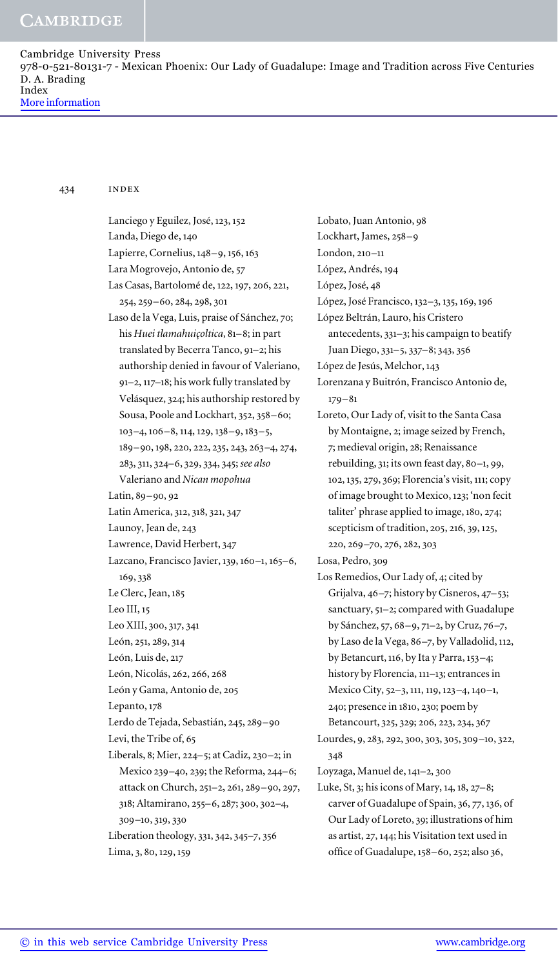434 index

Lanciego y Eguilez, José, 123, 152 Landa, Diego de, Lapierre, Cornelius, 148-9, 156, 163 Lara Mogrovejo, Antonio de, Las Casas, Bartolomé de, 122, 197, 206, 221, 254, 259-60, 284, 298, 301 Laso de la Vega, Luis, praise of Sánchez, 70; his *Huei tlamahuiçoltica*, 81-8; in part translated by Becerra Tanco, 91-2; his authorship denied in favour of Valeriano, 91-2, 117-18; his work fully translated by Velásquez, 324; his authorship restored by Sousa, Poole and Lockhart, 352, 358-60;  $103 - 4, 106 - 8, 114, 129, 138 - 9, 183 - 5,$ 189-90, 198, 220, 222, 235, 243, 263-4, 274, , , –, , , ; *see also* Valeriano and *Nican mopohua* Latin,  $89 - 90, 92$ Latin America, 312, 318, 321, 347 Launoy, Jean de, Lawrence, David Herbert, Lazcano, Francisco Javier,  $139, 160 - 1, 165 - 6$ , 169,338 Le Clerc, Jean, Leo III, 15 Leo XIII, 300, 317, 341 León, 251, 289, 314 León, Luis de, León, Nicolás, 262, 266, 268 León y Gama, Antonio de, Lepanto, 178 Lerdo de Tejada, Sebastián, 245, 289-90 Levi, the Tribe of, Liberals, 8; Mier, 224-5; at Cadiz, 230-2; in Mexico 239-40, 239; the Reforma, 244-6; attack on Church,  $251-2$ ,  $261$ ,  $289-90$ ,  $297$ ,  $318$ ; Altamirano, 255-6, 287; 300, 302-4, 309-10, 319, 330 Liberation theology, 331, 342, 345-7, 356  $Lima, 3, 80, 129, 159$ 

Lobato, Juan Antonio, Lockhart, James, 258-9 London, 210-11 López, Andrés, López, José, 48 López, José Francisco, 132-3, 135, 169, 196 López Beltrán, Lauro, his Cristero antecedents, 331-3; his campaign to beatify Juan Diego, 331-5, 337-8; 343, 356 López de Jesús, Melchor, 143 Lorenzana y Buitrón, Francisco Antonio de,  $179 - 81$ Loreto, Our Lady of, visit to the Santa Casa by Montaigne, 2; image seized by French, 7; medieval origin, 28; Renaissance rebuilding,  $31$ ; its own feast day,  $80-1$ , 99, 102, 135, 279, 369; Florencia's visit, 111; copy of image brought to Mexico, 123; 'non fecit taliter' phrase applied to image,  $180, 274$ ; scepticism of tradition, 205, 216, 39, 125, 220, 269-70, 276, 282, 303 Losa, Pedro, 309 Los Remedios, Our Lady of, 4; cited by Grijalva, 46-7; history by Cisneros, 47-53; sanctuary, 51-2; compared with Guadalupe by Sánchez, 57, 68–9, 71–2, by Cruz, 76–7, by Laso de la Vega, 86-7, by Valladolid, 112, by Betancurt,  $116$ , by Ita y Parra,  $153-4$ ; history by Florencia, 111-13; entrances in Mexico City, 52-3, 111, 119, 123-4, 140-1, 240; presence in 1810, 230; poem by Betancourt, 325, 329; 206, 223, 234, 367 Lourdes, 9, 283, 292, 300, 303, 305, 309-10, 322,  $348$ Loyzaga, Manuel de,  $141-2$ ,  $300$ Luke, St, 3; his icons of Mary,  $14$ ,  $18$ ,  $27-8$ ; carver of Guadalupe of Spain, 36, 77, 136, of Our Lady of Loreto, 39; illustrations of him as artist, 27, 144; his Visitation text used in

office of Guadalupe,  $158-60$ ,  $252$ ; also  $36$ ,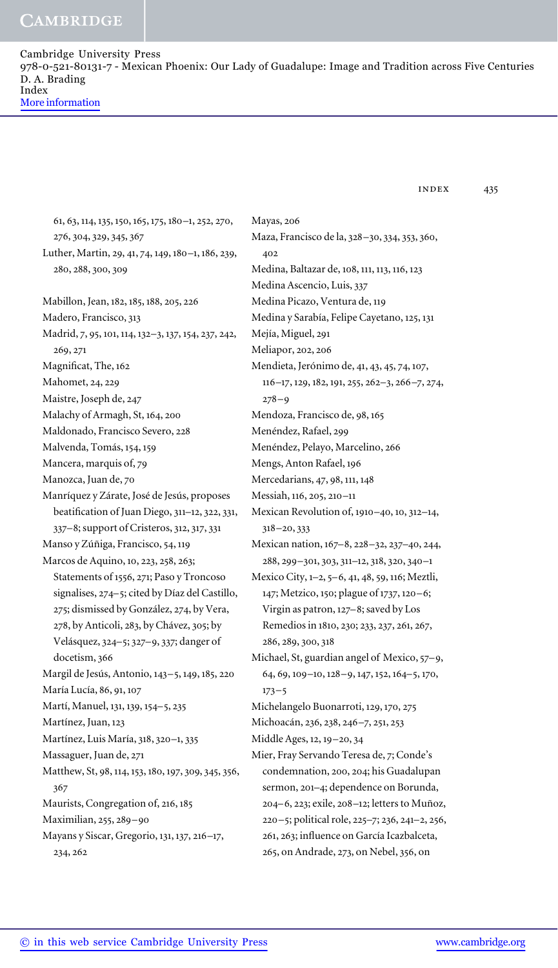### **CAMBRIDGE**

Cambridge University Press 978-0-521-80131-7 - Mexican Phoenix: Our Lady of Guadalupe: Image and Tradition across Five Centuries D. A. Brading Index More information

| 61, 63, 114, 135, 150, 165, 175, 180-1, 252, 270,   | Mayas, 206                                      |
|-----------------------------------------------------|-------------------------------------------------|
| 276, 304, 329, 345, 367                             | Maza, Francisco de la, 328-30, 334, 353, 360,   |
| Luther, Martin, 29, 41, 74, 149, 180-1, 186, 239,   | 402                                             |
| 280, 288, 300, 309                                  | Medina, Baltazar de, 108, 111, 113, 116, 123    |
|                                                     | Medina Ascencio, Luis, 337                      |
| Mabillon, Jean, 182, 185, 188, 205, 226             | Medina Picazo, Ventura de, 119                  |
| Madero, Francisco, 313                              | Medina y Sarabía, Felipe Cayetano, 125, 131     |
| Madrid, 7, 95, 101, 114, 132-3, 137, 154, 237, 242, | Mejía, Miguel, 291                              |
| 269, 271                                            | Meliapor, 202, 206                              |
| Magnificat, The, 162                                | Mendieta, Jerónimo de, 41, 43, 45, 74, 107,     |
| Mahomet, 24, 229                                    | 116-17, 129, 182, 191, 255, 262-3, 266-7, 274,  |
| Maistre, Joseph de, 247                             | $278 - 9$                                       |
| Malachy of Armagh, St, 164, 200                     | Mendoza, Francisco de, 98, 165                  |
| Maldonado, Francisco Severo, 228                    | Menéndez, Rafael, 299                           |
| Malvenda, Tomás, 154, 159                           | Menéndez, Pelayo, Marcelino, 266                |
| Mancera, marquis of, 79                             | Mengs, Anton Rafael, 196                        |
| Manozca, Juan de, 70                                | Mercedarians, 47, 98, 111, 148                  |
| Manríquez y Zárate, José de Jesús, proposes         | Messiah, 116, 205, 210-11                       |
| beatification of Juan Diego, 311-12, 322, 331,      | Mexican Revolution of, 1910-40, 10, 312-14,     |
| 337-8; support of Cristeros, 312, 317, 331          | $318 - 20, 333$                                 |
| Manso y Zúñiga, Francisco, 54, 119                  | Mexican nation, 167-8, 228-32, 237-40, 244,     |
| Marcos de Aquino, 10, 223, 258, 263;                | 288, 299-301, 303, 311-12, 318, 320, 340-1      |
| Statements of 1556, 271; Paso y Troncoso            | Mexico City, 1-2, 5-6, 41, 48, 59, 116; Meztli, |
| signalises, 274-5; cited by Díaz del Castillo,      | 147; Metzico, 150; plague of 1737, 120-6;       |
| 275; dismissed by González, 274, by Vera,           | Virgin as patron, 127-8; saved by Los           |
| 278, by Anticoli, 283, by Chávez, 305; by           | Remedios in 1810, 230; 233, 237, 261, 267,      |
| Velásquez, 324-5; 327-9, 337; danger of             | 286, 289, 300, 318                              |
| docetism, 366                                       | Michael, St, guardian angel of Mexico, 57-9,    |
| Margil de Jesús, Antonio, 143-5, 149, 185, 220      | 64, 69, 109-10, 128-9, 147, 152, 164-5, 170,    |
| María Lucía, 86, 91, 107                            | $173 - 5$                                       |
| Martí, Manuel, 131, 139, 154-5, 235                 | Michelangelo Buonarroti, 129, 170, 275          |
| Martínez, Juan, 123                                 | Michoacán, 236, 238, 246-7, 251, 253            |
| Martínez, Luis María, 318, 320-1, 335               | Middle Ages, 12, 19-20, 34                      |
| Massaguer, Juan de, 271                             | Mier, Fray Servando Teresa de, 7; Conde's       |
| Matthew, St, 98, 114, 153, 180, 197, 309, 345, 356, | condemnation, 200, 204; his Guadalupan          |
| 367                                                 | sermon, 201-4; dependence on Borunda,           |
| Maurists, Congregation of, 216, 185                 | 204-6, 223; exile, 208-12; letters to Muñoz,    |
| Maximilian, 255, 289-90                             | 220-5; political role, 225-7; 236, 241-2, 256,  |
| Mayans y Siscar, Gregorio, 131, 137, 216-17,        | 261, 263; influence on García Icazbalceta,      |
| 234, 262                                            | 265, on Andrade, 273, on Nebel, 356, on         |
|                                                     |                                                 |

index 435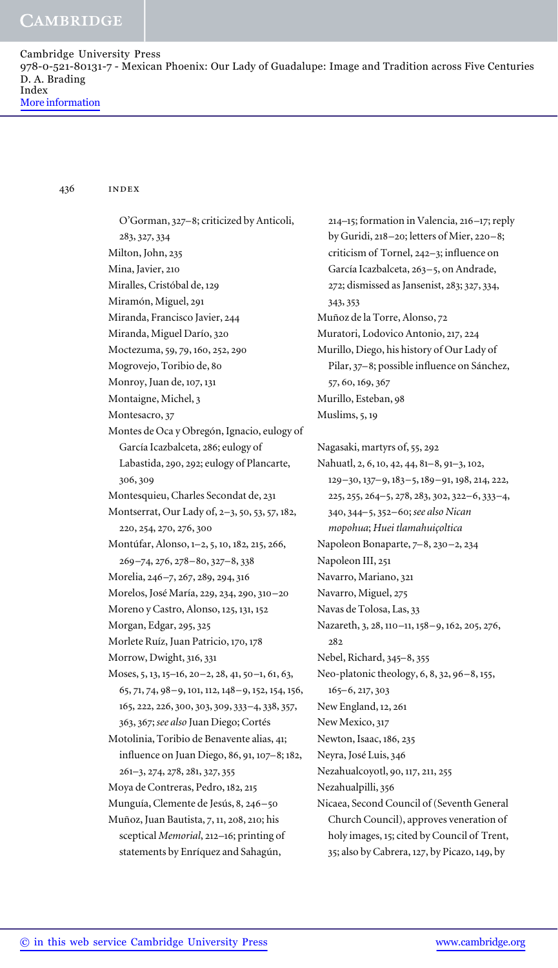#### 436 index

O'Gorman, 327-8; criticized by Anticoli, 283, 327, 334 Milton, John, Mina, Javier, Miralles, Cristóbal de, Miramón, Miguel, Miranda, Francisco Javier, Miranda, Miguel Darío, Moctezuma, 59, 79, 160, 252, 290 Mogrovejo, Toribio de, Monroy, Juan de, 107, 131 Montaigne, Michel, Montesacro, 37 Montes de Oca y Obregón, Ignacio, eulogy of García Icazbalceta, 286; eulogy of Labastida, 290, 292; eulogy of Plancarte, 306, 309 Montesquieu, Charles Secondat de, Montserrat, Our Lady of, 2-3, 50, 53, 57, 182, 220, 254, 270, 276, 300 Montúfar, Alonso, 1-2, 5, 10, 182, 215, 266,  $269 - 74, 276, 278 - 80, 327 - 8, 338$ Morelia, 246-7, 267, 289, 294, 316 Morelos, José María, 229, 234, 290, 310-20 Moreno y Castro, Alonso, 125, 131, 152 Morgan, Edgar, 295, 325 Morlete Ruíz, Juan Patricio, 170, 178 Morrow, Dwight, 316, 331 Moses, 5, 13, 15-16, 20-2, 28, 41, 50-1, 61, 63, 65, 71, 74, 98-9, 101, 112, 148-9, 152, 154, 156, 165, 222, 226, 300, 303, 309, 333-4, 338, 357, , ; *see also* Juan Diego; Cortés Motolinia, Toribio de Benavente alias, 41; influence on Juan Diego, 86, 91, 107-8; 182, 261-3, 274, 278, 281, 327, 355 Moya de Contreras, Pedro, 182, 215 Munguía, Clemente de Jesús, 8, 246-50 Muñoz, Juan Bautista, 7, 11, 208, 210; his sceptical *Memorial*, 212-16; printing of statements by Enríquez and Sahagún,

 $214-15$ ; formation in Valencia,  $216-17$ ; reply by Guridi,  $218-20$ ; letters of Mier,  $220-8$ ; criticism of Tornel, 242-3; influence on García Icazbalceta, 263-5, on Andrade, 272; dismissed as Jansenist, 283; 327, 334, 343, 353 Muñoz de la Torre, Alonso, Muratori, Lodovico Antonio, 217, 224 Murillo, Diego, his history of Our Lady of Pilar, 37-8; possible influence on Sánchez, 57, 60, 169, 367 Murillo, Esteban, Muslims, 5, 19

Nagasaki, martyrs of, 55, 292 Nahuatl, 2, 6, 10, 42, 44, 81-8, 91-3, 102, 129-30, 137-9, 183-5, 189-91, 198, 214, 222, 225, 255, 264-5, 278, 283, 302, 322-6, 333-4, , –, –; *see also Nican mopohua*; *Huei tlamahuiçoltica* Napoleon Bonaparte, 7-8, 230-2, 234 Napoleon III, Navarro, Mariano, Navarro, Miguel, Navas de Tolosa, Las, Nazareth, 3, 28, 110-11, 158-9, 162, 205, 276, 282 Nebel, Richard, 345-8, 355 Neo-platonic theology, 6, 8, 32, 96-8, 155,  $165 - 6$ , 217, 303 New England, 12, 261 New Mexico, 317 Newton, Isaac, 186, 235 Neyra, José Luis, Nezahualcoyotl, 90, 117, 211, 255 Nezahualpilli, Nicaea, Second Council of (Seventh General Church Council), approves veneration of holy images, 15; cited by Council of Trent, 35; also by Cabrera, 127, by Picazo, 149, by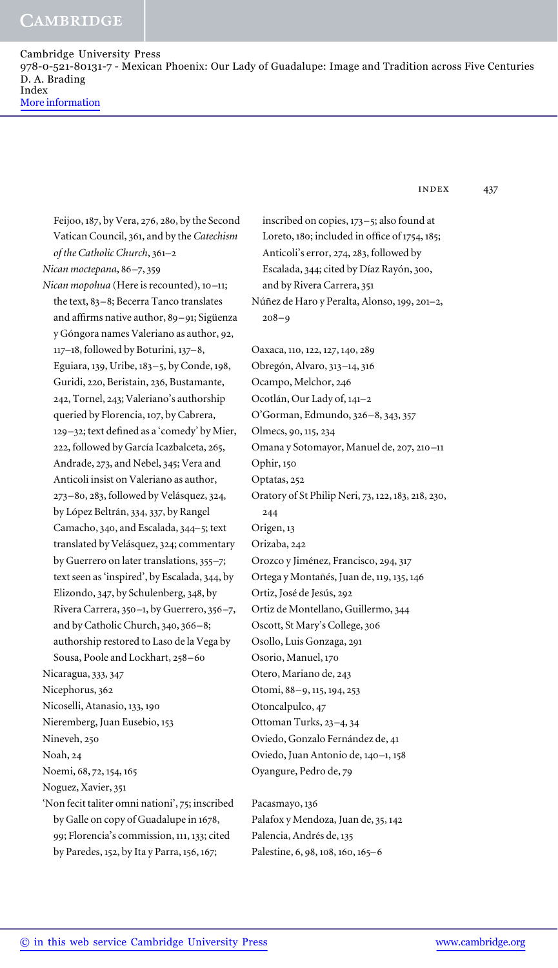index 437

Feijoo, 187, by Vera, 276, 280, by the Second Vatican Council, 361, and by the *Catechism of the Catholic Church*, 361-2 *Nican moctepana*, 86-7, 359 *Nican mopohua* (Here is recounted), 10-11; the text,  $83-8$ ; Becerra Tanco translates and affirms native author, 89-91; Sigüenza y Góngora names Valeriano as author, 92,  $117-18$ , followed by Boturini,  $137-8$ , Eguiara, 139, Uribe, 183-5, by Conde, 198, Guridi, 220, Beristain, 236, Bustamante, 242, Tornel, 243; Valeriano's authorship queried by Florencia, 107, by Cabrera, 129-32; text defined as a 'comedy' by Mier, 222, followed by García Icazbalceta, 265, Andrade, 273, and Nebel, 345; Vera and Anticoli insist on Valeriano as author, 273-80, 283, followed by Velásquez, 324, by López Beltrán, 334, 337, by Rangel Camacho, 340, and Escalada, 344-5; text translated by Velásquez, 324; commentary by Guerrero on later translations, 355-7; text seen as 'inspired', by Escalada, 344, by Elizondo, 347, by Schulenberg, 348, by Rivera Carrera,  $350-1$ , by Guerrero,  $356-7$ , and by Catholic Church, 340, 366-8; authorship restored to Laso de la Vega by Sousa, Poole and Lockhart, 258-60 Nicaragua, 333, 347 Nicephorus, 362 Nicoselli, Atanasio, 133, 190 Nieremberg, Juan Eusebio, Nineveh, Noah, Noemi, 68, 72, 154, 165 Noguez, Xavier, 'Non fecit taliter omni nationi', 75; inscribed by Galle on copy of Guadalupe in 1678, 99; Florencia's commission, 111, 133; cited by Paredes, 152, by Ita y Parra, 156, 167;

inscribed on copies,  $173 - 5$ ; also found at Loreto,  $180$ ; included in office of  $1754$ ,  $185$ ; Anticoli's error, 274, 283, followed by Escalada, 344; cited by Díaz Rayón, 300, and by Rivera Carrera, Núñez de Haro y Peralta, Alonso, 199, 201-2,  $208 - 9$ Oaxaca, 110, 122, 127, 140, 289 Obregón, Alvaro, 313-14, 316 Ocampo, Melchor, Ocotlán, Our Lady of, 141-2 O'Gorman, Edmundo, 326-8, 343, 357 Olmecs, 90, 115, 234 Omana y Sotomayor, Manuel de, 207, 210-11 Ophir, Optatas, Oratory of St Philip Neri, 73, 122, 183, 218, 230, 244 Origen, Orizaba, Orozco y Jiménez, Francisco, 294, 317 Ortega y Montañés, Juan de, 119, 135, 146 Ortiz, José de Jesús, Ortiz de Montellano, Guillermo, Oscott, St Mary's College, Osollo, Luis Gonzaga, Osorio, Manuel, Otero, Mariano de, Otomi, 88-9, 115, 194, 253 Otoncalpulco, 47 Ottoman Turks, 23-4, 34 Oviedo, Gonzalo Fernández de, Oviedo, Juan Antonio de, 140-1, 158 Oyangure, Pedro de, Pacasmayo, 136

Palafox y Mendoza, Juan de, 35, 142 Palencia, Andrés de, Palestine, 6, 98, 108, 160, 165-6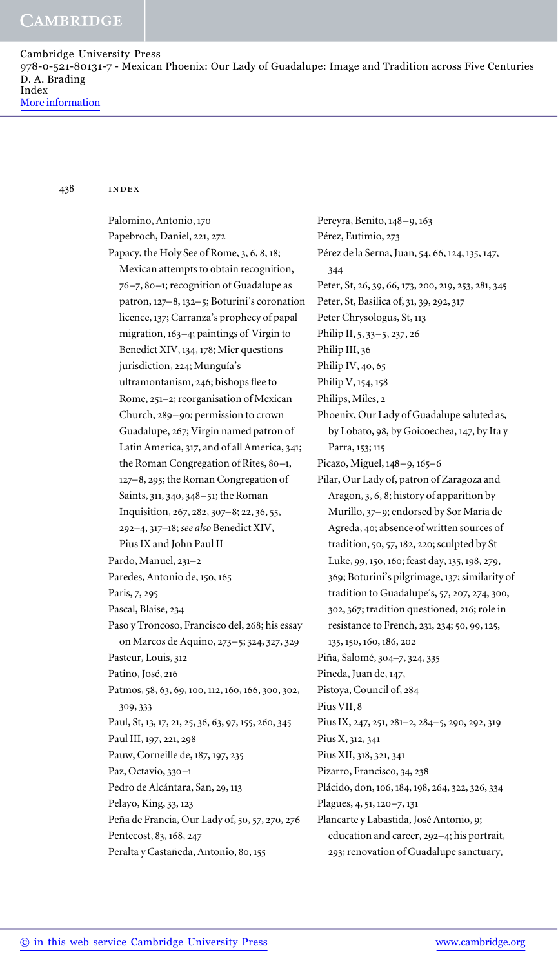438 index

Palomino, Antonio, Papebroch, Daniel, 221, 272 Papacy, the Holy See of Rome, 3, 6, 8, 18; Mexican attempts to obtain recognition, –, –; recognition of Guadalupe as patron,  $127-8$ ,  $132-5$ ; Boturini's coronation licence, 137; Carranza's prophecy of papal migration,  $163-4$ ; paintings of Virgin to Benedict XIV, 134, 178; Mier questions jurisdiction, 224; Munguía's ultramontanism, 246; bishops flee to Rome, 251-2; reorganisation of Mexican Church, 289-90; permission to crown Guadalupe, 267; Virgin named patron of Latin America, 317, and of all America, 341; the Roman Congregation of Rites, 80-1,  $127-8$ , 295; the Roman Congregation of Saints, 311, 340, 348-51; the Roman Inquisition, 267, 282, 307-8; 22, 36, 55, –, –; *see also* Benedict XIV, Pius IX and John Paul II Pardo, Manuel, 231-2 Paredes, Antonio de, 150, 165 Paris, 7, 295 Pascal, Blaise, Paso y Troncoso, Francisco del, 268; his essay on Marcos de Aquino, 273-5; 324, 327, 329 Pasteur, Louis, 312 Patiño, José, Patmos, 58, 63, 69, 100, 112, 160, 166, 300, 302, 309, 333 Paul, St, 13, 17, 21, 25, 36, 63, 97, 155, 260, 345 Paul III, 197, 221, 298 Pauw, Corneille de, 187, 197, 235 Paz, Octavio, 330-1 Pedro de Alcántara, San, 29, 113 Pelayo, King, 33, 123 Peña de Francia, Our Lady of, 50, 57, 270, 276 Pentecost, 83, 168, 247 Peralta y Castañeda, Antonio, 80, 155

Pereyra, Benito, 148-9, 163 Pérez, Eutimio, Pérez de la Serna, Juan, 54, 66, 124, 135, 147, 344 Peter, St, 26, 39, 66, 173, 200, 219, 253, 281, 345 Peter, St, Basilica of, 31, 39, 292, 317 Peter Chrysologus, St, Philip II, 5, 33–5, 237, 26 Philip III, 36 Philip IV,  $40, 65$ Philip V, 154, 158 Philips, Miles, Phoenix, Our Lady of Guadalupe saluted as, by Lobato, 98, by Goicoechea, 147, by Ita y Parra, 153; 115 Picazo, Miguel, 148-9, 165-6 Pilar, Our Lady of, patron of Zaragoza and Aragon, 3, 6, 8; history of apparition by Murillo, 37-9; endorsed by Sor María de Agreda, 40; absence of written sources of tradition, 50, 57, 182, 220; sculpted by St Luke, 99, 150, 160; feast day, 135, 198, 279, 369; Boturini's pilgrimage, 137; similarity of tradition to Guadalupe's, 57, 207, 274, 300, 302, 367; tradition questioned, 216; role in resistance to French, 231, 234; 50, 99, 125, 135, 150, 160, 186, 202 Piña, Salomé, 304-7, 324, 335 Pineda, Juan de, 147, Pistoya, Council of, Pius VII, Pius IX, 247, 251, 281-2, 284-5, 290, 292, 319 Pius X, 312, 341 Pius XII, 318, 321, 341 Pizarro, Francisco, 34, 238 Plácido, don, 106, 184, 198, 264, 322, 326, 334 Plagues,  $4, 51, 120 - 7, 131$ Plancarte y Labastida, José Antonio, 9; education and career, 292-4; his portrait, 293; renovation of Guadalupe sanctuary,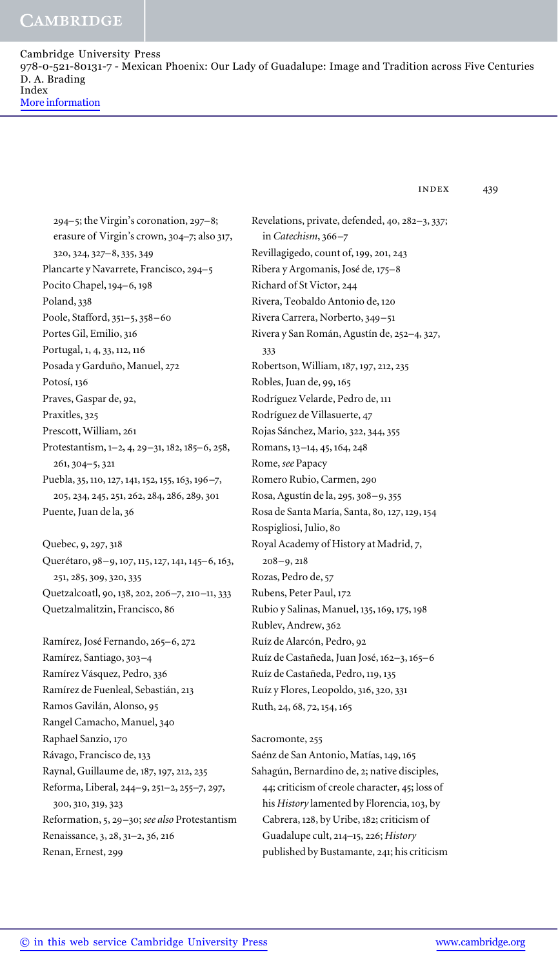## **CAMBRIDGE**

Cambridge University Press 978-0-521-80131-7 - Mexican Phoenix: Our Lady of Guadalupe: Image and Tradition across Five Centuries D. A. Brading Index More information

index 439

 $294-5$ ; the Virgin's coronation,  $297-8$ ; erasure of Virgin's crown, 304-7; also 317, 320, 324, 327-8, 335, 349 Plancarte y Navarrete, Francisco, 294-5 Pocito Chapel, 194-6, 198 Poland, 338 Poole, Stafford, 351-5, 358-60 Portes Gil, Emilio, Portugal, 1, 4, 33, 112, 116 Posada y Garduño, Manuel, Potosí, 136 Praves, Gaspar de, 92, Praxitles, 325 Prescott, William, Protestantism, 1-2, 4, 29-31, 182, 185-6, 258,  $261, 304 - 5, 321$ Puebla, 35, 110, 127, 141, 152, 155, 163, 196-7, 205, 234, 245, 251, 262, 284, 286, 289, 301 Puente, Juan de la,

Quebec, 9, 297, 318 Querétaro, 98-9, 107, 115, 127, 141, 145-6, 163, 251, 285, 309, 320, 335 Quetzalcoatl, 90, 138, 202, 206-7, 210-11, 333 Quetzalmalitzin, Francisco,

Ramírez, José Fernando, 265-6, 272 Ramírez, Santiago, 303-4 Ramírez Vásquez, Pedro, Ramírez de Fuenleal, Sebastián, Ramos Gavilán, Alonso, Rangel Camacho, Manuel, Raphael Sanzio, Rávago, Francisco de, Raynal, Guillaume de, 187, 197, 212, 235 Reforma, Liberal, 244-9, 251-2, 255-7, 297, 300, 310, 319, 323 Reformation, 5, 29-30; see also Protestantism Renaissance, 3, 28, 31-2, 36, 216 Renan, Ernest,

Revelations, private, defended, 40, 282-3, 337; in *Catechism*, 366-7 Revillagigedo, count of, 199, 201, 243 Ribera y Argomanis, José de, 175-8 Richard of St Victor, Rivera, Teobaldo Antonio de, Rivera Carrera, Norberto, 349-51 Rivera y San Román, Agustín de, 252-4, 327, 333 Robertson, William, 187, 197, 212, 235 Robles, Juan de, 99, 165 Rodríguez Velarde, Pedro de, Rodríguez de Villasuerte, Rojas Sánchez, Mario, 322, 344, 355 Romans, 13-14, 45, 164, 248 Rome, *see* Papacy Romero Rubio, Carmen, Rosa, Agustín de la, 295, 308-9, 355 Rosa de Santa María, Santa, 80, 127, 129, 154 Rospigliosi, Julio, Royal Academy of History at Madrid, 7,  $208 - 9, 218$ Rozas, Pedro de, Rubens, Peter Paul, Rubio y Salinas, Manuel, 135, 169, 175, 198 Rublev, Andrew, Ruíz de Alarcón, Pedro, Ruíz de Castañeda, Juan José, 162-3, 165-6 Ruíz de Castañeda, Pedro, 119, 135 Ruíz y Flores, Leopoldo, 316, 320, 331 Ruth, 24, 68, 72, 154, 165

Sacromonte, 255

Saénz de San Antonio, Matías, 149, 165 Sahagún, Bernardino de, 2; native disciples, 44; criticism of creole character, 45; loss of his *History* lamented by Florencia, 103, by Cabrera, 128, by Uribe, 182; criticism of Guadalupe cult, 214-15, 226; *History* published by Bustamante, 241; his criticism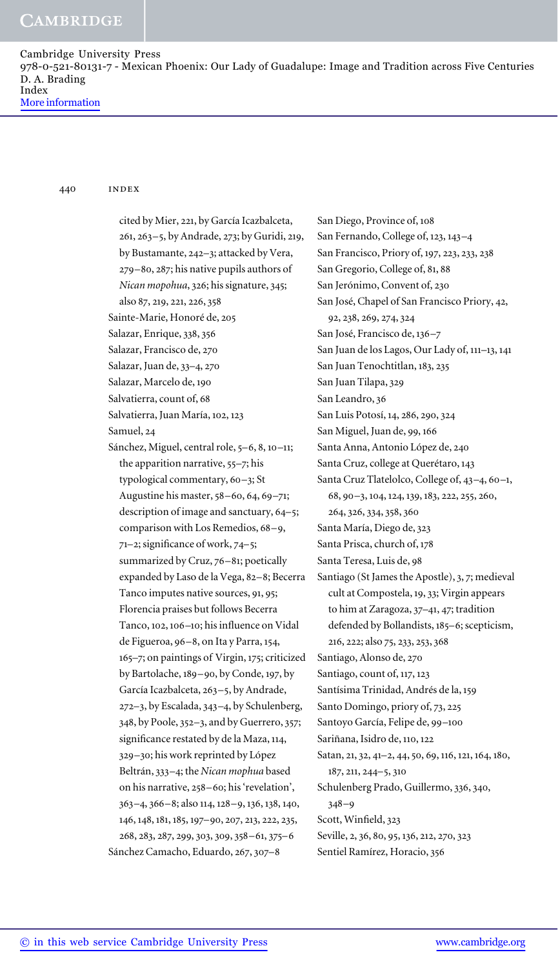440 index

cited by Mier, 221, by García Icazbalceta, 261, 263-5, by Andrade, 273; by Guridi, 219, by Bustamante, 242-3; attacked by Vera,  $279-80$ ,  $287$ ; his native pupils authors of *Nican mopohua*, 326; his signature, 345; also 87, 219, 221, 226, 358 Sainte-Marie, Honoré de, Salazar, Enrique, 338, 356 Salazar, Francisco de, Salazar, Juan de, 33-4, 270 Salazar, Marcelo de, Salvatierra, count of, 68 Salvatierra, Juan María, 102, 123 Samuel, 24 Sánchez, Miguel, central role, 5-6, 8, 10-11; the apparition narrative,  $55-7$ ; his typological commentary,  $60-3$ ; St Augustine his master, 58-60, 64, 69-71; description of image and sanctuary,  $64-5$ ; comparison with Los Remedios,  $68 - 9$ ,  $71-2$ ; significance of work,  $74-5$ ; summarized by Cruz, 76-81; poetically expanded by Laso de la Vega, 82-8; Becerra Tanco imputes native sources, 91, 95; Florencia praises but follows Becerra Tanco, 102, 106-10; his influence on Vidal de Figueroa, 96-8, on Ita y Parra, 154, 165–7; on paintings of Virgin, 175; criticized by Bartolache, 189-90, by Conde, 197, by García Icazbalceta, 263-5, by Andrade,  $272-3$ , by Escalada,  $343-4$ , by Schulenberg,  $348$ , by Poole,  $352-3$ , and by Guerrero,  $357$ ; significance restated by de la Maza, 114, –; his work reprinted by López Beltrán, 333-4; the *Nican mophua* based on his narrative, 258-60; his 'revelation',  $363 - 4$ ,  $366 - 8$ ; also  $114$ ,  $128 - 9$ ,  $136$ ,  $138$ ,  $140$ , 146, 148, 181, 185, 197-90, 207, 213, 222, 235, 268, 283, 287, 299, 303, 309, 358-61, 375-6 Sánchez Camacho, Eduardo, 267, 307-8

San Diego, Province of, San Fernando, College of, 123, 143-4 San Francisco, Priory of, 197, 223, 233, 238 San Gregorio, College of, 81, 88 San Jerónimo, Convent of, San José, Chapel of San Francisco Priory, 42, 92, 238, 269, 274, 324 San José, Francisco de, 136-7 San Juan de los Lagos, Our Lady of, 111-13, 141 San Juan Tenochtitlan, 183, 235 San Juan Tilapa, San Leandro, San Luis Potosí, 14, 286, 290, 324 San Miguel, Juan de, 99, 166 Santa Anna, Antonio López de, Santa Cruz, college at Querétaro, Santa Cruz Tlatelolco, College of,  $43-4$ ,  $60-1$ , 68, 90-3, 104, 124, 139, 183, 222, 255, 260, 264, 326, 334, 358, 360 Santa María, Diego de, Santa Prisca, church of, Santa Teresa, Luis de, Santiago (St James the Apostle), 3, 7; medieval cult at Compostela, 19, 33; Virgin appears to him at Zaragoza, 37-41, 47; tradition defended by Bollandists, 185-6; scepticism, 216, 222; also 75, 233, 253, 368 Santiago, Alonso de, Santiago, count of, 117, 123 Santísima Trinidad, Andrés de la, Santo Domingo, priory of, 73, 225 Santoyo García, Felipe de, 99-100 Sariñana, Isidro de, 110, 122 Satan, 21, 32, 41-2, 44, 50, 69, 116, 121, 164, 180,  $187, 211, 244 - 5, 310$ Schulenberg Prado, Guillermo, 336, 340,  $348 - 9$ Scott, Winfield, Seville, 2, 36, 80, 95, 136, 212, 270, 323 Sentiel Ramírez, Horacio,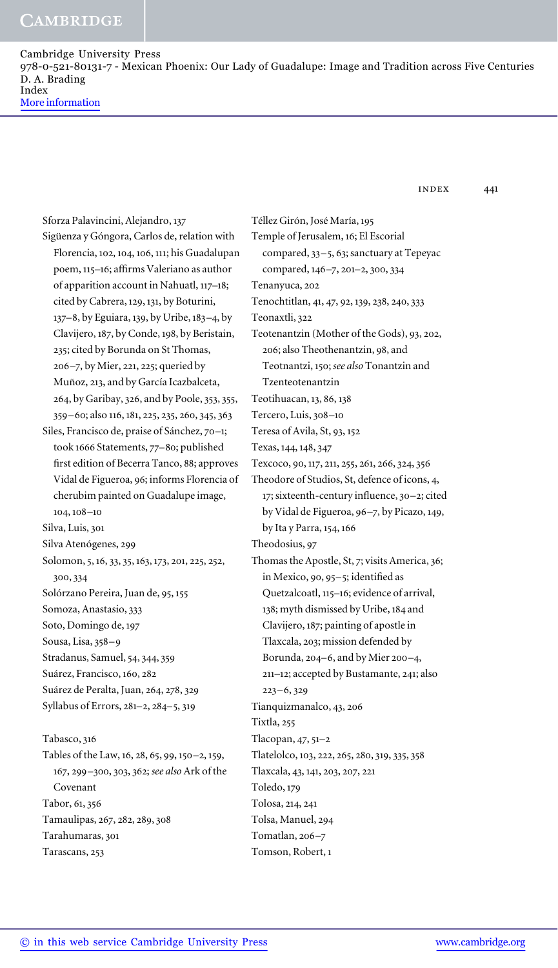index 441

Sforza Palavincini, Alejandro, Sigüenza y Góngora, Carlos de, relation with Florencia, 102, 104, 106, 111; his Guadalupan poem, 115-16; affirms Valeriano as author of apparition account in Nahuatl,  $117-18$ ; cited by Cabrera, 129, 131, by Boturini, 137-8, by Eguiara, 139, by Uribe, 183-4, by Clavijero, 187, by Conde, 198, by Beristain, 235; cited by Borunda on St Thomas, 206-7, by Mier, 221, 225; queried by Muñoz, 213, and by García Icazbalceta, 264, by Garibay, 326, and by Poole, 353, 355, 359–60; also 116, 181, 225, 235, 260, 345, 363 Siles, Francisco de, praise of Sánchez, 70-1; took 1666 Statements, 77-80; published first edition of Becerra Tanco, 88; approves Vidal de Figueroa, 96; informs Florencia of cherubim painted on Guadalupe image,  $104, 108 - 10$ Silva, Luis, Silva Atenógenes, Solomon, 5, 16, 33, 35, 163, 173, 201, 225, 252, 300, 334 Solórzano Pereira, Juan de, 95, 155 Somoza, Anastasio, Soto, Domingo de, Sousa, Lisa, 358-9 Stradanus, Samuel, 54, 344, 359 Suárez, Francisco, 160, 282 Suárez de Peralta, Juan, 264, 278, 329 Syllabus of Errors,  $281 - 2$ ,  $284 - 5$ , 319 Tabasco, Tables of the Law,  $16$ ,  $28$ ,  $65$ ,  $99$ ,  $150-2$ ,  $159$ , 167, 299-300, 303, 362; see also Ark of the Covenant Tabor, 61, 356 Tamaulipas, 267, 282, 289, 308 Tarahumaras, Tarascans, Tixtla, Toledo, Tomson, Robert,

Téllez Girón, José María, Temple of Jerusalem, 16; El Escorial compared,  $33-5$ , 63; sanctuary at Tepeyac compared, 146-7, 201-2, 300, 334 Tenanyuca, Tenochtitlan, 41, 47, 92, 139, 238, 240, 333 Teonaxtli, Teotenantzin (Mother of the Gods), 93, 202, 206; also Theothenantzin, 98, and Teotnantzi, 150; see also Tonantzin and Tzenteotenantzin Teotihuacan, 13, 86, 138 Tercero, Luis, 308-10 Teresa of Avila, St, 93, 152 Texas, 144, 148, 347 Texcoco, 90, 117, 211, 255, 261, 266, 324, 356 Theodore of Studios, St, defence of icons, 4, 17; sixteenth-century influence, 30-2; cited by Vidal de Figueroa, 96-7, by Picazo, 149, by Ita y Parra, 154, 166 Theodosius, Thomas the Apostle, St, 7; visits America, 36; in Mexico, 90, 95-5; identified as Quetzalcoatl, 115-16; evidence of arrival, 138; myth dismissed by Uribe, 184 and Clavijero, 187; painting of apostle in Tlaxcala, 203; mission defended by Borunda,  $204-6$ , and by Mier  $200-4$ , 211-12; accepted by Bustamante, 241; also  $223 - 6, 329$ Tianquizmanalco, 43, 206 Tlacopan,  $47, 51-2$ Tlatelolco, 103, 222, 265, 280, 319, 335, 358 Tlaxcala, 43, 141, 203, 207, 221 Tolosa, 214, 241 Tolsa, Manuel, Tomatlan,  $206 - 7$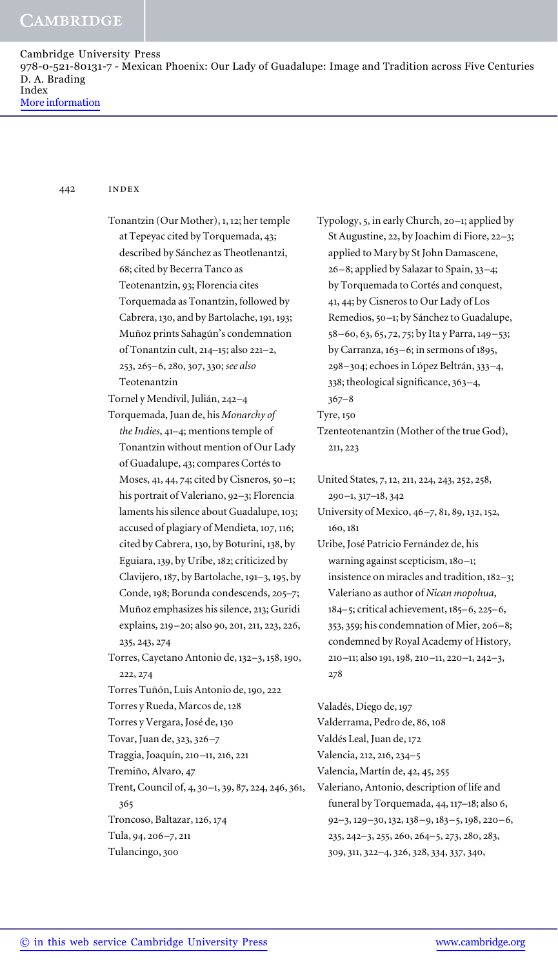442 index

- Tonantzin (Our Mother), 1, 12; her temple at Tepeyac cited by Torquemada, 43; described by Sánchez as Theotlenantzi, 68; cited by Becerra Tanco as Teotenantzin, 93; Florencia cites Torquemada as Tonantzin, followed by Cabrera, 130, and by Bartolache, 191, 193; Muñoz prints Sahagún's condemnation of Tonantzin cult, 214-15; also 221-2, 253, 265-6, 280, 307, 330; see also Teotenantzin
- Tornel y Mendívil, Julián, 242-4 Torquemada, Juan de, his *Monarchy of* the Indies, 41-4; mentions temple of Tonantzin without mention of Our Lady of Guadalupe, 43; compares Cortés to Moses,  $41, 44, 74$ ; cited by Cisneros,  $50-1$ ; his portrait of Valeriano, 92-3; Florencia laments his silence about Guadalupe, 103; accused of plagiary of Mendieta, 107, 116; cited by Cabrera, 130, by Boturini, 138, by Eguiara, 139, by Uribe, 182; criticized by Clavijero,  $187$ , by Bartolache,  $191-3$ ,  $195$ , by Conde, 198; Borunda condescends, 205-7; Muñoz emphasizes his silence, 213; Guridi explains, 219-20; also 90, 201, 211, 223, 226, 235, 243, 274 Torres, Cayetano Antonio de, 132-3, 158, 190, 222, 274 Torres Tuñón, Luis Antonio de, 190, 222 Torres y Rueda, Marcos de, Torres y Vergara, José de, Tovar, Juan de, 323, 326-7
- Traggia, Joaquín, 210-11, 216, 221 Tremiño, Alvaro, Trent, Council of, 4, 30-1, 39, 87, 224, 246, 361,
- 365 Troncoso, Baltazar, 126, 174
- Tula, 94, 206-7, 211
- Tulancingo,
- Typology, 5, in early Church, 20-1; applied by St Augustine, 22, by Joachim di Fiore, 22-3; applied to Mary by St John Damascene, 26-8; applied by Salazar to Spain, 33-4; by Torquemada to Cortés and conquest, 41, 44; by Cisneros to Our Lady of Los Remedios, 50-1; by Sánchez to Guadalupe, 58–60, 63, 65, 72, 75; by Ita y Parra, 149–53; by Carranza,  $163-6$ ; in sermons of 1895,  $298 - 304$ ; echoes in López Beltrán,  $333 - 4$ ,  $338$ ; theological significance,  $363-4$ ,  $367 - 8$
- Tyre,
- Tzenteotenantzin (Mother of the true God), 211, 223
- United States, 7, 12, 211, 224, 243, 252, 258,  $290 - 1, 317 - 18, 342$
- University of Mexico, 46-7, 81, 89, 132, 152, 160, 181
- Uribe, José Patricio Fernández de, his warning against scepticism,  $180 - 1$ ; insistence on miracles and tradition,  $182-3$ ; Valeriano as author of *Nican mopohua*,  $184 - 5$ ; critical achievement,  $185 - 6$ ,  $225 - 6$ ,  $353, 359$ ; his condemnation of Mier, 206-8; condemned by Royal Academy of History, 210-11; also 191, 198, 210-11, 220-1, 242-3, 278

Valadés, Diego de, Valderrama, Pedro de, 86, 108 Valdés Leal, Juan de, Valencia, 212, 216, 234-5 Valencia, Martín de, 42, 45, 255 Valeriano, Antonio, description of life and funeral by Torquemada,  $44$ ,  $117-18$ ; also 6,  $92-3, 129-30, 132, 138-9, 183-5, 198, 220-6,$ 235, 242-3, 255, 260, 264-5, 273, 280, 283, 309, 311, 322-4, 326, 328, 334, 337, 340,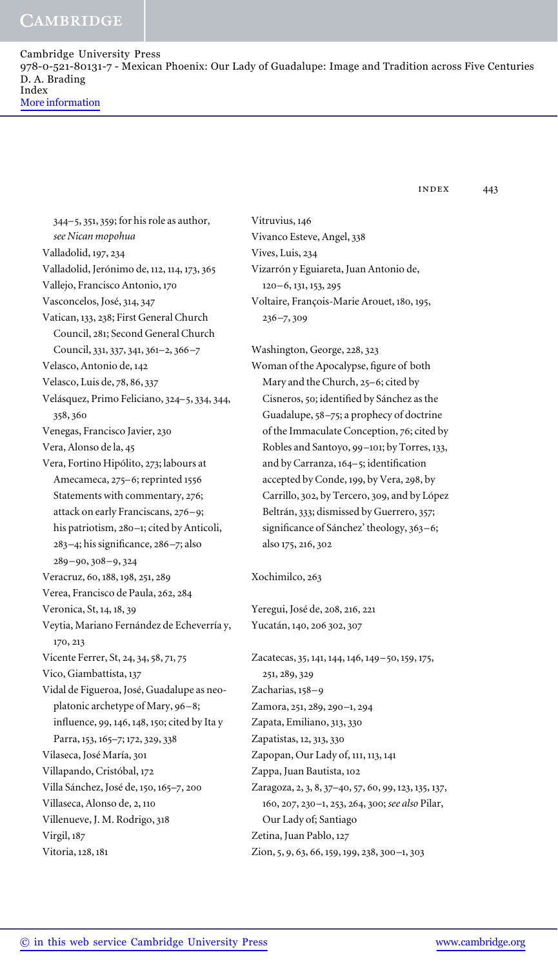### **CAMBRIDGE**

Cambridge University Press 978-0-521-80131-7 - Mexican Phoenix: Our Lady of Guadalupe: Image and Tradition across Five Centuries D. A. Brading Index More information

index 443

344-5, 351, 359; for his role as author, *see Nican mopohua* Valladolid, 197, 234 Valladolid, Jerónimo de, 112, 114, 173, 365 Vallejo, Francisco Antonio, Vasconcelos, José, 314, 347 Vatican, 133, 238; First General Church Council, 281; Second General Church Council, 331, 337, 341, 361-2, 366-7 Velasco, Antonio de, Velasco, Luis de, 78, 86, 337 Velásquez, Primo Feliciano, 324-5, 334, 344, 358,360 Venegas, Francisco Javier, Vera, Alonso de la, Vera, Fortino Hipólito, 273; labours at Amecameca, 275-6; reprinted 1556 Statements with commentary, 276; attack on early Franciscans, 276-9; his patriotism, 280-1; cited by Anticoli,  $283-4$ ; his significance,  $286-7$ ; also  $289 - 90, 308 - 9, 324$ Veracruz, 60, 188, 198, 251, 289 Verea, Francisco de Paula, 262, 284 Veronica, St, 14, 18, 39 Veytia, Mariano Fernández de Echeverría y, 170, 213 Vicente Ferrer, St, 24, 34, 58, 71, 75 Vico, Giambattista, Vidal de Figueroa, José, Guadalupe as neoplatonic archetype of Mary, 96-8; influence, 99, 146, 148, 150; cited by Ita y Parra, 153, 165-7; 172, 329, 338 Vilaseca, José María, Villapando, Cristóbal, Villa Sánchez, José de, 150, 165-7, 200 Villaseca, Alonso de, 2, 110 Villenueve, J. M. Rodrigo, Virgil, Vitoria, 128, 181

Vitruvius, 146 Vivanco Esteve, Angel, Vives, Luis, Vizarrón y Eguiareta, Juan Antonio de,  $120 - 6$ ,  $131$ ,  $153$ ,  $295$ Voltaire, François-Marie Arouet, 180, 195,  $236 - 7,309$ 

Washington, George, 228, 323 Woman of the Apocalypse, figure of both Mary and the Church, 25-6; cited by Cisneros, 50; identified by Sánchez as the Guadalupe, 58-75; a prophecy of doctrine of the Immaculate Conception, 76; cited by Robles and Santoyo, 99-101; by Torres, 133, and by Carranza, 164-5; identification accepted by Conde, 199, by Vera, 298, by Carrillo, 302, by Tercero, 309, and by López Beltrán, 333; dismissed by Guerrero, 357; significance of Sánchez' theology, 363-6; also 175, 216, 302

Xochimilco, 263

Yeregui, José de, 208, 216, 221 Yucatán, 140, 206 302, 307

Zacatecas, 35, 141, 144, 146, 149-50, 159, 175, 251, 289, 329 Zacharias, 158-9 Zamora, 251, 289, 290-1, 294 Zapata, Emiliano, 313, 330 Zapatistas, 12, 313, 330 Zapopan, Our Lady of, 111, 113, 141 Zappa, Juan Bautista, Zaragoza, 2, 3, 8, 37-40, 57, 60, 99, 123, 135, 137, 160, 207, 230-1, 253, 264, 300; see also Pilar, Our Lady of; Santiago Zetina, Juan Pablo, Zion, 5, 9, 63, 66, 159, 199, 238, 300-1, 303